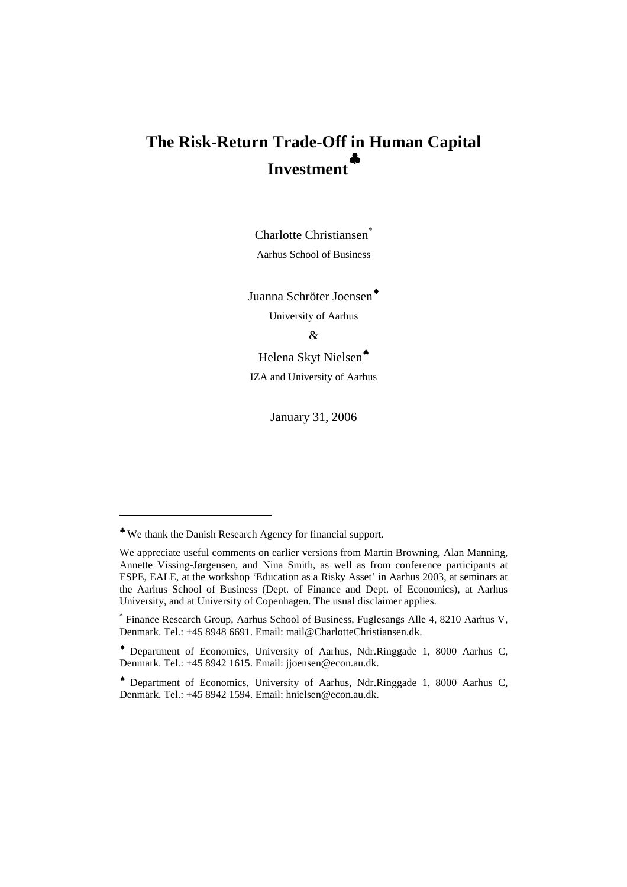# **The Risk-Return Trade-Off in Human Capital Investment**♣

Charlotte Christiansen<sup>\*</sup> Aarhus School of Business

Juanna Schröter Joensen♦ University of Aarhus

&

Helena Skyt Nielsen♠ IZA and University of Aarhus

January 31, 2006

 $\overline{a}$ 

<sup>♣</sup> We thank the Danish Research Agency for financial support.

We appreciate useful comments on earlier versions from Martin Browning, Alan Manning, Annette Vissing-Jørgensen, and Nina Smith, as well as from conference participants at ESPE, EALE, at the workshop 'Education as a Risky Asset' in Aarhus 2003, at seminars at the Aarhus School of Business (Dept. of Finance and Dept. of Economics), at Aarhus University, and at University of Copenhagen. The usual disclaimer applies.

<sup>\*</sup> Finance Research Group, Aarhus School of Business, Fuglesangs Alle 4, 8210 Aarhus V, Denmark. Tel.: +45 8948 6691. Email: mail@CharlotteChristiansen.dk.

<sup>♦</sup> Department of Economics, University of Aarhus, Ndr.Ringgade 1, 8000 Aarhus C, Denmark. Tel.: +45 8942 1615. Email: jjoensen@econ.au.dk.

<sup>♠</sup> Department of Economics, University of Aarhus, Ndr.Ringgade 1, 8000 Aarhus C, Denmark. Tel.: +45 8942 1594. Email: hnielsen@econ.au.dk.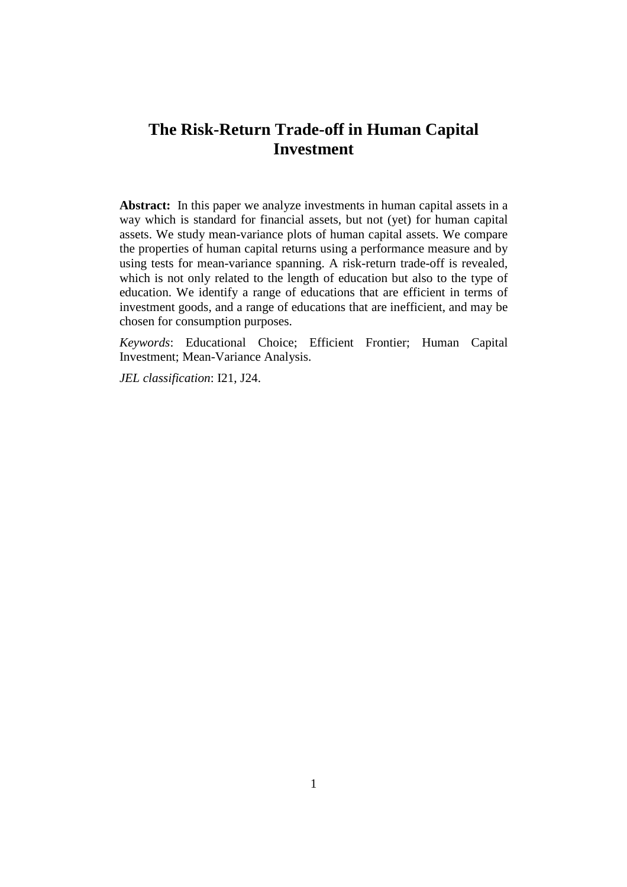## **The Risk-Return Trade-off in Human Capital Investment**

**Abstract:** In this paper we analyze investments in human capital assets in a way which is standard for financial assets, but not (yet) for human capital assets. We study mean-variance plots of human capital assets. We compare the properties of human capital returns using a performance measure and by using tests for mean-variance spanning. A risk-return trade-off is revealed, which is not only related to the length of education but also to the type of education. We identify a range of educations that are efficient in terms of investment goods, and a range of educations that are inefficient, and may be chosen for consumption purposes.

*Keywords*: Educational Choice; Efficient Frontier; Human Capital Investment; Mean-Variance Analysis.

*JEL classification*: I21, J24.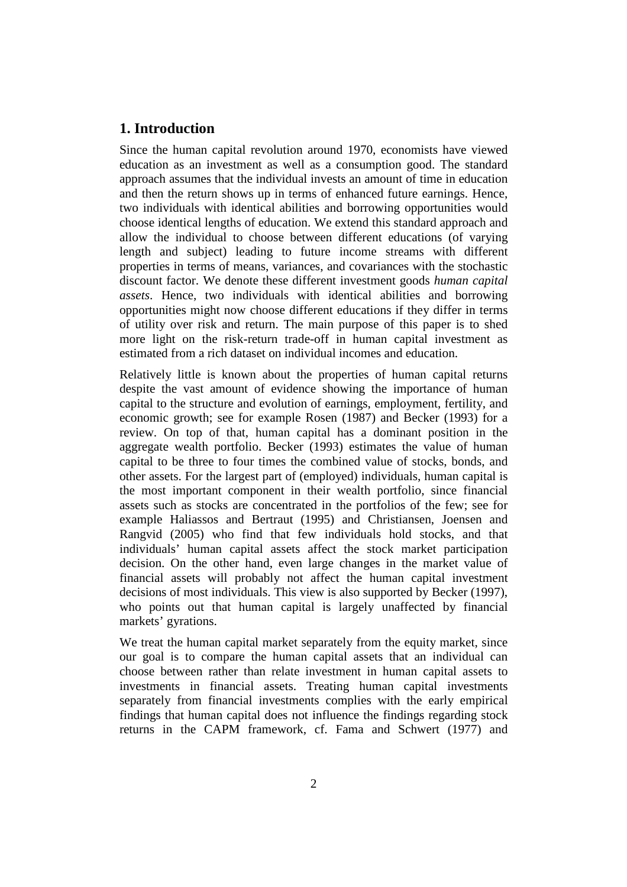## **1. Introduction**

Since the human capital revolution around 1970, economists have viewed education as an investment as well as a consumption good. The standard approach assumes that the individual invests an amount of time in education and then the return shows up in terms of enhanced future earnings. Hence, two individuals with identical abilities and borrowing opportunities would choose identical lengths of education. We extend this standard approach and allow the individual to choose between different educations (of varying length and subject) leading to future income streams with different properties in terms of means, variances, and covariances with the stochastic discount factor. We denote these different investment goods *human capital assets*. Hence, two individuals with identical abilities and borrowing opportunities might now choose different educations if they differ in terms of utility over risk and return. The main purpose of this paper is to shed more light on the risk-return trade-off in human capital investment as estimated from a rich dataset on individual incomes and education.

Relatively little is known about the properties of human capital returns despite the vast amount of evidence showing the importance of human capital to the structure and evolution of earnings, employment, fertility, and economic growth; see for example Rosen (1987) and Becker (1993) for a review. On top of that, human capital has a dominant position in the aggregate wealth portfolio. Becker (1993) estimates the value of human capital to be three to four times the combined value of stocks, bonds, and other assets. For the largest part of (employed) individuals, human capital is the most important component in their wealth portfolio, since financial assets such as stocks are concentrated in the portfolios of the few; see for example Haliassos and Bertraut (1995) and Christiansen, Joensen and Rangvid (2005) who find that few individuals hold stocks, and that individuals' human capital assets affect the stock market participation decision. On the other hand, even large changes in the market value of financial assets will probably not affect the human capital investment decisions of most individuals. This view is also supported by Becker (1997), who points out that human capital is largely unaffected by financial markets' gyrations.

We treat the human capital market separately from the equity market, since our goal is to compare the human capital assets that an individual can choose between rather than relate investment in human capital assets to investments in financial assets. Treating human capital investments separately from financial investments complies with the early empirical findings that human capital does not influence the findings regarding stock returns in the CAPM framework, cf. Fama and Schwert (1977) and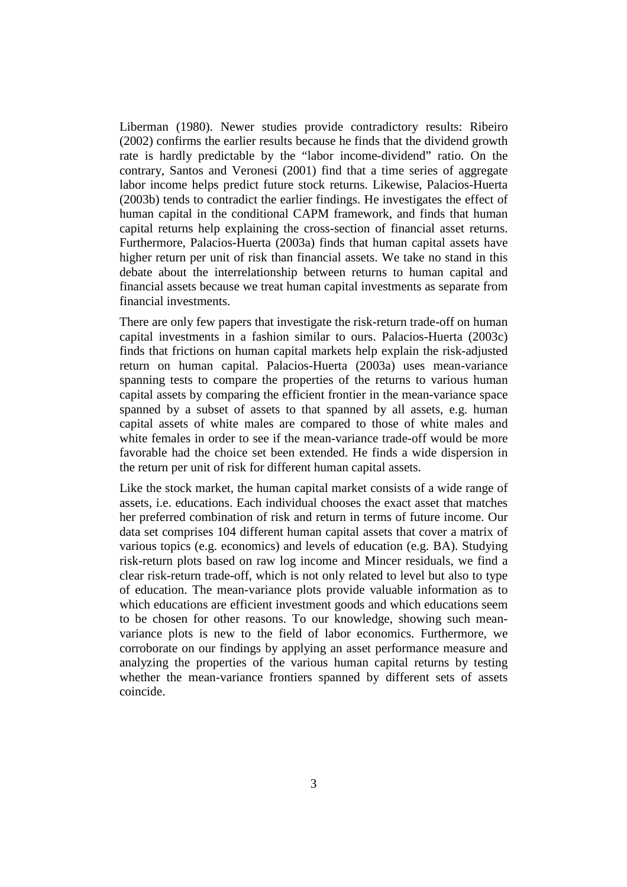Liberman (1980). Newer studies provide contradictory results: Ribeiro (2002) confirms the earlier results because he finds that the dividend growth rate is hardly predictable by the "labor income-dividend" ratio. On the contrary, Santos and Veronesi (2001) find that a time series of aggregate labor income helps predict future stock returns. Likewise, Palacios-Huerta (2003b) tends to contradict the earlier findings. He investigates the effect of human capital in the conditional CAPM framework, and finds that human capital returns help explaining the cross-section of financial asset returns. Furthermore, Palacios-Huerta (2003a) finds that human capital assets have higher return per unit of risk than financial assets. We take no stand in this debate about the interrelationship between returns to human capital and financial assets because we treat human capital investments as separate from financial investments.

There are only few papers that investigate the risk-return trade-off on human capital investments in a fashion similar to ours. Palacios-Huerta (2003c) finds that frictions on human capital markets help explain the risk-adjusted return on human capital. Palacios-Huerta (2003a) uses mean-variance spanning tests to compare the properties of the returns to various human capital assets by comparing the efficient frontier in the mean-variance space spanned by a subset of assets to that spanned by all assets, e.g. human capital assets of white males are compared to those of white males and white females in order to see if the mean-variance trade-off would be more favorable had the choice set been extended. He finds a wide dispersion in the return per unit of risk for different human capital assets.

Like the stock market, the human capital market consists of a wide range of assets, i.e. educations. Each individual chooses the exact asset that matches her preferred combination of risk and return in terms of future income. Our data set comprises 104 different human capital assets that cover a matrix of various topics (e.g. economics) and levels of education (e.g. BA). Studying risk-return plots based on raw log income and Mincer residuals, we find a clear risk-return trade-off, which is not only related to level but also to type of education. The mean-variance plots provide valuable information as to which educations are efficient investment goods and which educations seem to be chosen for other reasons. To our knowledge, showing such meanvariance plots is new to the field of labor economics. Furthermore, we corroborate on our findings by applying an asset performance measure and analyzing the properties of the various human capital returns by testing whether the mean-variance frontiers spanned by different sets of assets coincide.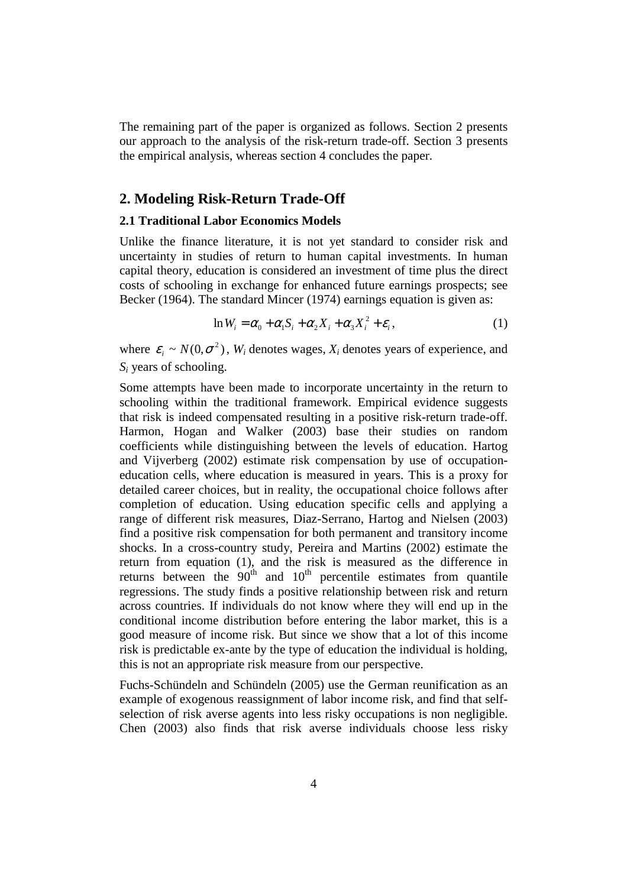The remaining part of the paper is organized as follows. Section 2 presents our approach to the analysis of the risk-return trade-off. Section 3 presents the empirical analysis, whereas section 4 concludes the paper.

## **2. Modeling Risk-Return Trade-Off**

## **2.1 Traditional Labor Economics Models**

Unlike the finance literature, it is not yet standard to consider risk and uncertainty in studies of return to human capital investments. In human capital theory, education is considered an investment of time plus the direct costs of schooling in exchange for enhanced future earnings prospects; see Becker (1964). The standard Mincer (1974) earnings equation is given as:

$$
\ln W_i = \alpha_0 + \alpha_1 S_i + \alpha_2 X_i + \alpha_3 X_i^2 + \varepsilon_i, \qquad (1)
$$

where  $\varepsilon_i \sim N(0, \sigma^2)$ ,  $W_i$  denotes wages,  $X_i$  denotes years of experience, and *Si* years of schooling.

Some attempts have been made to incorporate uncertainty in the return to schooling within the traditional framework. Empirical evidence suggests that risk is indeed compensated resulting in a positive risk-return trade-off. Harmon, Hogan and Walker (2003) base their studies on random coefficients while distinguishing between the levels of education. Hartog and Vijverberg (2002) estimate risk compensation by use of occupationeducation cells, where education is measured in years. This is a proxy for detailed career choices, but in reality, the occupational choice follows after completion of education. Using education specific cells and applying a range of different risk measures, Diaz-Serrano, Hartog and Nielsen (2003) find a positive risk compensation for both permanent and transitory income shocks. In a cross-country study, Pereira and Martins (2002) estimate the return from equation (1), and the risk is measured as the difference in returns between the  $90<sup>th</sup>$  and  $10<sup>th</sup>$  percentile estimates from quantile regressions. The study finds a positive relationship between risk and return across countries. If individuals do not know where they will end up in the conditional income distribution before entering the labor market, this is a good measure of income risk. But since we show that a lot of this income risk is predictable ex-ante by the type of education the individual is holding, this is not an appropriate risk measure from our perspective.

Fuchs-Schündeln and Schündeln (2005) use the German reunification as an example of exogenous reassignment of labor income risk, and find that selfselection of risk averse agents into less risky occupations is non negligible. Chen (2003) also finds that risk averse individuals choose less risky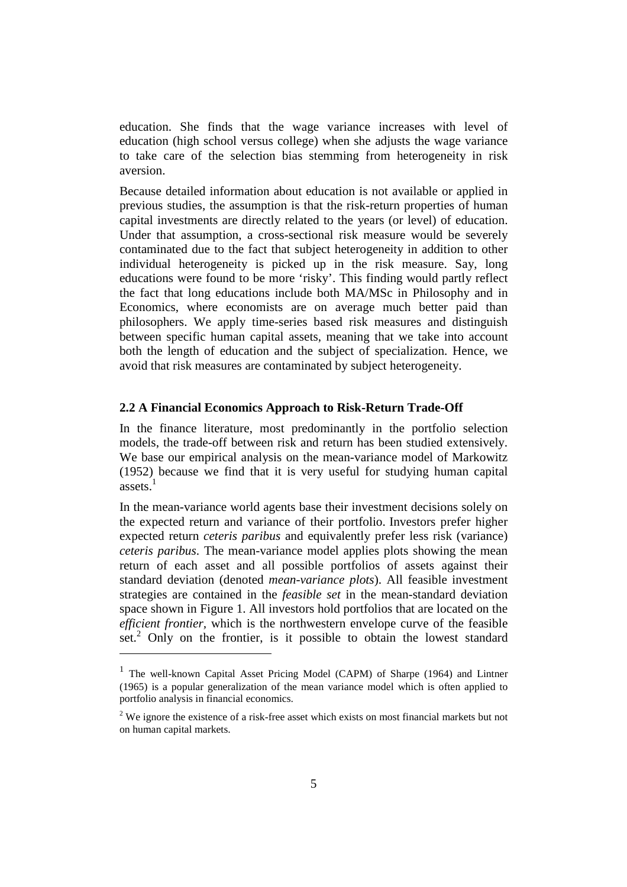education. She finds that the wage variance increases with level of education (high school versus college) when she adjusts the wage variance to take care of the selection bias stemming from heterogeneity in risk aversion.

Because detailed information about education is not available or applied in previous studies, the assumption is that the risk-return properties of human capital investments are directly related to the years (or level) of education. Under that assumption, a cross-sectional risk measure would be severely contaminated due to the fact that subject heterogeneity in addition to other individual heterogeneity is picked up in the risk measure. Say, long educations were found to be more 'risky'. This finding would partly reflect the fact that long educations include both MA/MSc in Philosophy and in Economics, where economists are on average much better paid than philosophers. We apply time-series based risk measures and distinguish between specific human capital assets, meaning that we take into account both the length of education and the subject of specialization. Hence, we avoid that risk measures are contaminated by subject heterogeneity.

## **2.2 A Financial Economics Approach to Risk-Return Trade-Off**

In the finance literature, most predominantly in the portfolio selection models, the trade-off between risk and return has been studied extensively. We base our empirical analysis on the mean-variance model of Markowitz (1952) because we find that it is very useful for studying human capital assets.<sup>1</sup>

In the mean-variance world agents base their investment decisions solely on the expected return and variance of their portfolio. Investors prefer higher expected return *ceteris paribus* and equivalently prefer less risk (variance) *ceteris paribus*. The mean-variance model applies plots showing the mean return of each asset and all possible portfolios of assets against their standard deviation (denoted *mean-variance plots*). All feasible investment strategies are contained in the *feasible set* in the mean-standard deviation space shown in Figure 1. All investors hold portfolios that are located on the *efficient frontier,* which is the northwestern envelope curve of the feasible set.<sup>2</sup> Only on the frontier, is it possible to obtain the lowest standard

l

<sup>&</sup>lt;sup>1</sup> The well-known Capital Asset Pricing Model (CAPM) of Sharpe (1964) and Lintner (1965) is a popular generalization of the mean variance model which is often applied to portfolio analysis in financial economics.

 $2$  We ignore the existence of a risk-free asset which exists on most financial markets but not on human capital markets.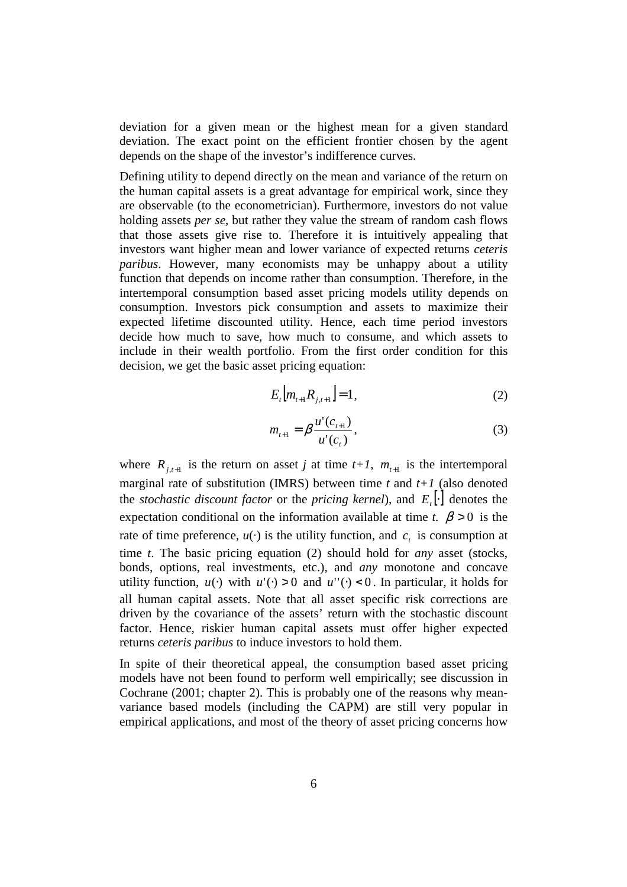deviation for a given mean or the highest mean for a given standard deviation. The exact point on the efficient frontier chosen by the agent depends on the shape of the investor's indifference curves.

Defining utility to depend directly on the mean and variance of the return on the human capital assets is a great advantage for empirical work, since they are observable (to the econometrician). Furthermore, investors do not value holding assets *per se*, but rather they value the stream of random cash flows that those assets give rise to. Therefore it is intuitively appealing that investors want higher mean and lower variance of expected returns *ceteris paribus*. However, many economists may be unhappy about a utility function that depends on income rather than consumption. Therefore, in the intertemporal consumption based asset pricing models utility depends on consumption. Investors pick consumption and assets to maximize their expected lifetime discounted utility. Hence, each time period investors decide how much to save, how much to consume, and which assets to include in their wealth portfolio. From the first order condition for this decision, we get the basic asset pricing equation:

$$
E_t[m_{t+1}R_{j,t+1}]=1,
$$
\n(2)

$$
m_{t+1} = \beta \frac{u'(c_{t+1})}{u'(c_t)},
$$
\n(3)

where  $R_{j,t+1}$  is the return on asset *j* at time  $t+1$ ,  $m_{t+1}$  is the intertemporal marginal rate of substitution (IMRS) between time  $t$  and  $t+1$  (also denoted the *stochastic discount factor* or the *pricing kernel*), and  $E_t[\cdot]$  denotes the expectation conditional on the information available at time *t.*  $\beta > 0$  is the rate of time preference,  $u(\cdot)$  is the utility function, and  $c_t$  is consumption at time *t*. The basic pricing equation (2) should hold for *any* asset (stocks, bonds, options, real investments, etc.), and *any* monotone and concave utility function,  $u(\cdot)$  with  $u'(\cdot) > 0$  and  $u''(\cdot) < 0$ . In particular, it holds for all human capital assets. Note that all asset specific risk corrections are driven by the covariance of the assets' return with the stochastic discount factor. Hence, riskier human capital assets must offer higher expected returns *ceteris paribus* to induce investors to hold them.

In spite of their theoretical appeal, the consumption based asset pricing models have not been found to perform well empirically; see discussion in Cochrane (2001; chapter 2). This is probably one of the reasons why meanvariance based models (including the CAPM) are still very popular in empirical applications, and most of the theory of asset pricing concerns how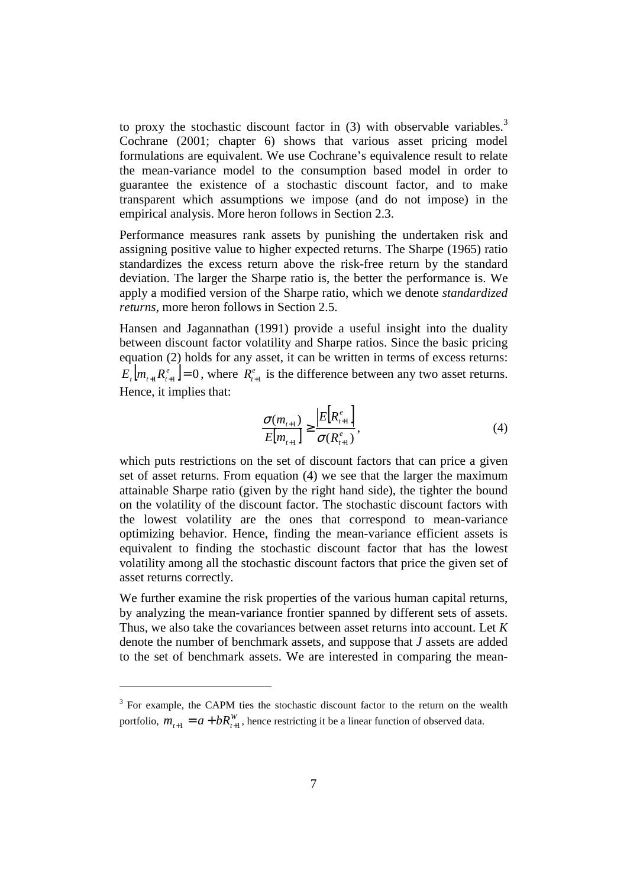to proxy the stochastic discount factor in  $(3)$  with observable variables.<sup>3</sup> Cochrane (2001; chapter 6) shows that various asset pricing model formulations are equivalent. We use Cochrane's equivalence result to relate the mean-variance model to the consumption based model in order to guarantee the existence of a stochastic discount factor, and to make transparent which assumptions we impose (and do not impose) in the empirical analysis. More heron follows in Section 2.3.

Performance measures rank assets by punishing the undertaken risk and assigning positive value to higher expected returns. The Sharpe (1965) ratio standardizes the excess return above the risk-free return by the standard deviation. The larger the Sharpe ratio is, the better the performance is. We apply a modified version of the Sharpe ratio, which we denote *standardized returns*, more heron follows in Section 2.5.

Hansen and Jagannathan (1991) provide a useful insight into the duality between discount factor volatility and Sharpe ratios. Since the basic pricing equation (2) holds for any asset, it can be written in terms of excess returns:  $E_t[m_{t+1} R_{t+1}^e] = 0$ , where  $R_{t+1}^e$  is the difference between any two asset returns. Hence, it implies that:

$$
\frac{\sigma(m_{t+1})}{E[m_{t+1}]} \ge \frac{|E[R_{t+1}^e]}{\sigma(R_{t+1}^e)},
$$
\n(4)

which puts restrictions on the set of discount factors that can price a given set of asset returns. From equation (4) we see that the larger the maximum attainable Sharpe ratio (given by the right hand side), the tighter the bound on the volatility of the discount factor. The stochastic discount factors with the lowest volatility are the ones that correspond to mean-variance optimizing behavior. Hence, finding the mean-variance efficient assets is equivalent to finding the stochastic discount factor that has the lowest volatility among all the stochastic discount factors that price the given set of asset returns correctly.

We further examine the risk properties of the various human capital returns, by analyzing the mean-variance frontier spanned by different sets of assets. Thus, we also take the covariances between asset returns into account. Let *K* denote the number of benchmark assets, and suppose that *J* assets are added to the set of benchmark assets. We are interested in comparing the mean-

 $\overline{a}$ 

 $3$  For example, the CAPM ties the stochastic discount factor to the return on the wealth portfolio,  $m_{t+1} = a + bR_{t+1}^W$ , hence restricting it be a linear function of observed data.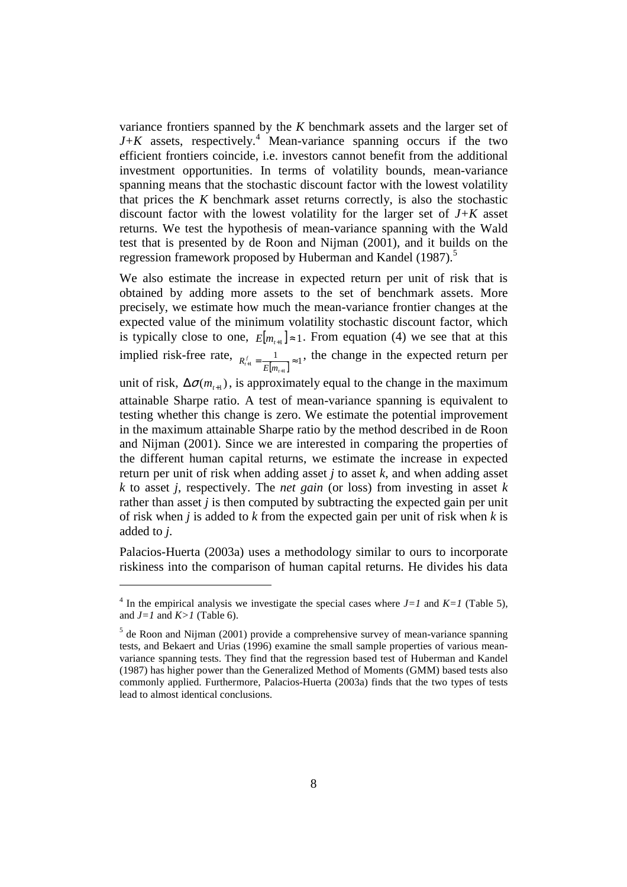variance frontiers spanned by the *K* benchmark assets and the larger set of  $J+K$  assets, respectively.<sup>4</sup> Mean-variance spanning occurs if the two efficient frontiers coincide, i.e. investors cannot benefit from the additional investment opportunities. In terms of volatility bounds, mean-variance spanning means that the stochastic discount factor with the lowest volatility that prices the *K* benchmark asset returns correctly, is also the stochastic discount factor with the lowest volatility for the larger set of *J+K* asset returns. We test the hypothesis of mean-variance spanning with the Wald test that is presented by de Roon and Nijman (2001), and it builds on the regression framework proposed by Huberman and Kandel (1987).<sup>5</sup>

We also estimate the increase in expected return per unit of risk that is obtained by adding more assets to the set of benchmark assets. More precisely, we estimate how much the mean-variance frontier changes at the expected value of the minimum volatility stochastic discount factor, which is typically close to one,  $E[m_{t+1}] \approx 1$ . From equation (4) we see that at this implied risk-free rate,  $R_{H}^{f} = \frac{1}{E[m_{H+1}]} \approx 1$  $t_{+1}^{f} = \frac{1}{E[m_{t+1}]} \approx$  $R_{t+1}^f = \frac{1}{E[m_{t+1}]} \approx 1$ , the change in the expected return per

unit of risk,  $\Delta \sigma(m_{t+1})$ , is approximately equal to the change in the maximum attainable Sharpe ratio. A test of mean-variance spanning is equivalent to testing whether this change is zero. We estimate the potential improvement in the maximum attainable Sharpe ratio by the method described in de Roon and Nijman (2001). Since we are interested in comparing the properties of the different human capital returns, we estimate the increase in expected return per unit of risk when adding asset *j* to asset *k*, and when adding asset *k* to asset *j*, respectively. The *net gain* (or loss) from investing in asset *k* rather than asset *j* is then computed by subtracting the expected gain per unit of risk when *j* is added to *k* from the expected gain per unit of risk when *k* is added to *j*.

Palacios-Huerta (2003a) uses a methodology similar to ours to incorporate riskiness into the comparison of human capital returns. He divides his data

 $\overline{a}$ 

<sup>&</sup>lt;sup>4</sup> In the empirical analysis we investigate the special cases where  $J=1$  and  $K=1$  (Table 5), and  $J=1$  and  $K>1$  (Table 6).

<sup>&</sup>lt;sup>5</sup> de Roon and Nijman (2001) provide a comprehensive survey of mean-variance spanning tests, and Bekaert and Urias (1996) examine the small sample properties of various meanvariance spanning tests. They find that the regression based test of Huberman and Kandel (1987) has higher power than the Generalized Method of Moments (GMM) based tests also commonly applied. Furthermore, Palacios-Huerta (2003a) finds that the two types of tests lead to almost identical conclusions.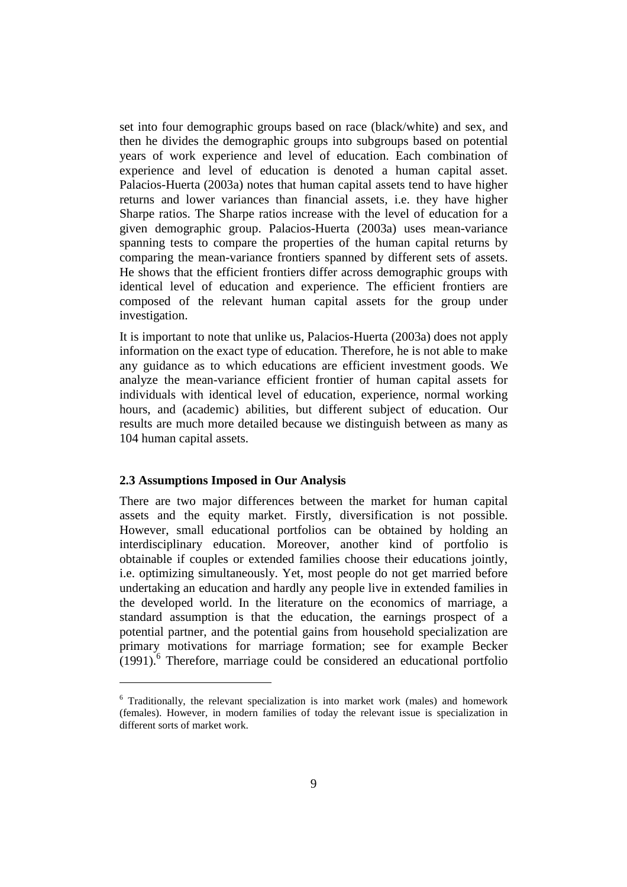set into four demographic groups based on race (black/white) and sex, and then he divides the demographic groups into subgroups based on potential years of work experience and level of education. Each combination of experience and level of education is denoted a human capital asset. Palacios-Huerta (2003a) notes that human capital assets tend to have higher returns and lower variances than financial assets, i.e. they have higher Sharpe ratios. The Sharpe ratios increase with the level of education for a given demographic group. Palacios-Huerta (2003a) uses mean-variance spanning tests to compare the properties of the human capital returns by comparing the mean-variance frontiers spanned by different sets of assets. He shows that the efficient frontiers differ across demographic groups with identical level of education and experience. The efficient frontiers are composed of the relevant human capital assets for the group under investigation.

It is important to note that unlike us, Palacios-Huerta (2003a) does not apply information on the exact type of education. Therefore, he is not able to make any guidance as to which educations are efficient investment goods. We analyze the mean-variance efficient frontier of human capital assets for individuals with identical level of education, experience, normal working hours, and (academic) abilities, but different subject of education. Our results are much more detailed because we distinguish between as many as 104 human capital assets.

### **2.3 Assumptions Imposed in Our Analysis**

 $\overline{a}$ 

There are two major differences between the market for human capital assets and the equity market. Firstly, diversification is not possible. However, small educational portfolios can be obtained by holding an interdisciplinary education. Moreover, another kind of portfolio is obtainable if couples or extended families choose their educations jointly, i.e. optimizing simultaneously. Yet, most people do not get married before undertaking an education and hardly any people live in extended families in the developed world. In the literature on the economics of marriage, a standard assumption is that the education, the earnings prospect of a potential partner, and the potential gains from household specialization are primary motivations for marriage formation; see for example Becker  $(1991)$ <sup>6</sup> Therefore, marriage could be considered an educational portfolio

<sup>&</sup>lt;sup>6</sup> Traditionally, the relevant specialization is into market work (males) and homework (females). However, in modern families of today the relevant issue is specialization in different sorts of market work.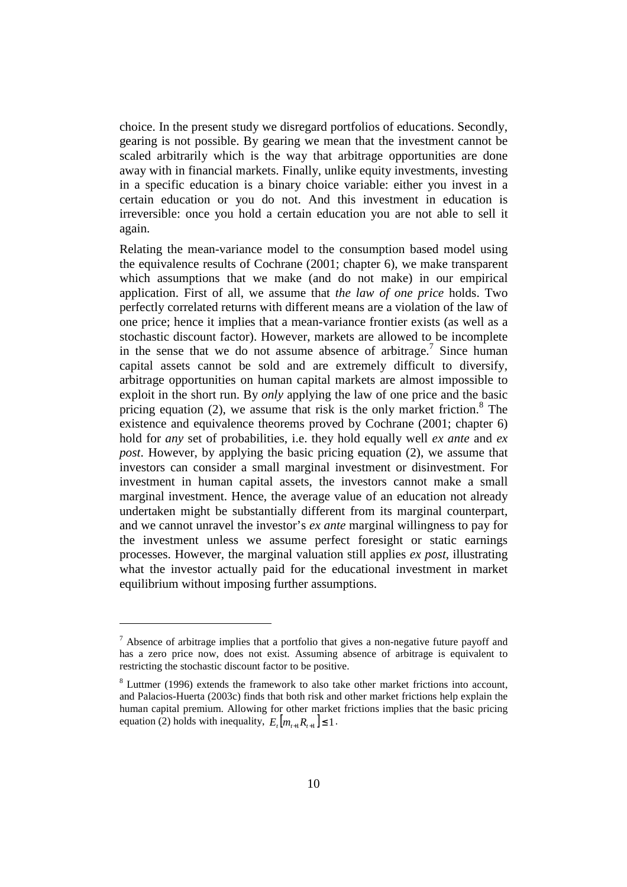choice. In the present study we disregard portfolios of educations. Secondly, gearing is not possible. By gearing we mean that the investment cannot be scaled arbitrarily which is the way that arbitrage opportunities are done away with in financial markets. Finally, unlike equity investments, investing in a specific education is a binary choice variable: either you invest in a certain education or you do not. And this investment in education is irreversible: once you hold a certain education you are not able to sell it again.

Relating the mean-variance model to the consumption based model using the equivalence results of Cochrane (2001; chapter 6), we make transparent which assumptions that we make (and do not make) in our empirical application. First of all, we assume that *the law of one price* holds. Two perfectly correlated returns with different means are a violation of the law of one price; hence it implies that a mean-variance frontier exists (as well as a stochastic discount factor). However, markets are allowed to be incomplete in the sense that we do not assume absence of arbitrage.<sup>7</sup> Since human capital assets cannot be sold and are extremely difficult to diversify, arbitrage opportunities on human capital markets are almost impossible to exploit in the short run. By *only* applying the law of one price and the basic pricing equation  $(2)$ , we assume that risk is the only market friction.<sup>8</sup> The existence and equivalence theorems proved by Cochrane (2001; chapter 6) hold for *any* set of probabilities, i.e. they hold equally well *ex ante* and *ex post*. However, by applying the basic pricing equation (2), we assume that investors can consider a small marginal investment or disinvestment. For investment in human capital assets, the investors cannot make a small marginal investment. Hence, the average value of an education not already undertaken might be substantially different from its marginal counterpart, and we cannot unravel the investor's *ex ante* marginal willingness to pay for the investment unless we assume perfect foresight or static earnings processes. However, the marginal valuation still applies *ex post*, illustrating what the investor actually paid for the educational investment in market equilibrium without imposing further assumptions.

 $\overline{a}$ 

 $<sup>7</sup>$  Absence of arbitrage implies that a portfolio that gives a non-negative future payoff and</sup> has a zero price now, does not exist. Assuming absence of arbitrage is equivalent to restricting the stochastic discount factor to be positive.

 $8$  Luttmer (1996) extends the framework to also take other market frictions into account, and Palacios-Huerta (2003c) finds that both risk and other market frictions help explain the human capital premium. Allowing for other market frictions implies that the basic pricing equation (2) holds with inequality,  $E_t[m_{t+1}R_{t+1}] \leq 1$ .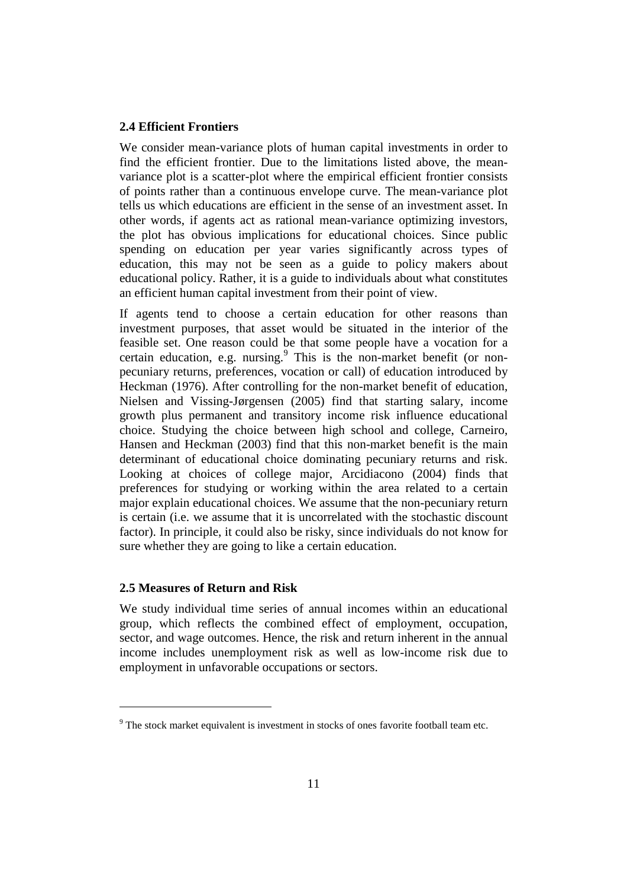## **2.4 Efficient Frontiers**

We consider mean-variance plots of human capital investments in order to find the efficient frontier. Due to the limitations listed above, the meanvariance plot is a scatter-plot where the empirical efficient frontier consists of points rather than a continuous envelope curve. The mean-variance plot tells us which educations are efficient in the sense of an investment asset. In other words, if agents act as rational mean-variance optimizing investors, the plot has obvious implications for educational choices. Since public spending on education per year varies significantly across types of education, this may not be seen as a guide to policy makers about educational policy. Rather, it is a guide to individuals about what constitutes an efficient human capital investment from their point of view.

If agents tend to choose a certain education for other reasons than investment purposes, that asset would be situated in the interior of the feasible set. One reason could be that some people have a vocation for a certain education, e.g. nursing.<sup>9</sup> This is the non-market benefit (or nonpecuniary returns, preferences, vocation or call) of education introduced by Heckman (1976). After controlling for the non-market benefit of education, Nielsen and Vissing-Jørgensen (2005) find that starting salary, income growth plus permanent and transitory income risk influence educational choice. Studying the choice between high school and college, Carneiro, Hansen and Heckman (2003) find that this non-market benefit is the main determinant of educational choice dominating pecuniary returns and risk. Looking at choices of college major, Arcidiacono (2004) finds that preferences for studying or working within the area related to a certain major explain educational choices. We assume that the non-pecuniary return is certain (i.e. we assume that it is uncorrelated with the stochastic discount factor). In principle, it could also be risky, since individuals do not know for sure whether they are going to like a certain education.

## **2.5 Measures of Return and Risk**

 $\overline{a}$ 

We study individual time series of annual incomes within an educational group, which reflects the combined effect of employment, occupation, sector, and wage outcomes. Hence, the risk and return inherent in the annual income includes unemployment risk as well as low-income risk due to employment in unfavorable occupations or sectors.

 $9$  The stock market equivalent is investment in stocks of ones favorite football team etc.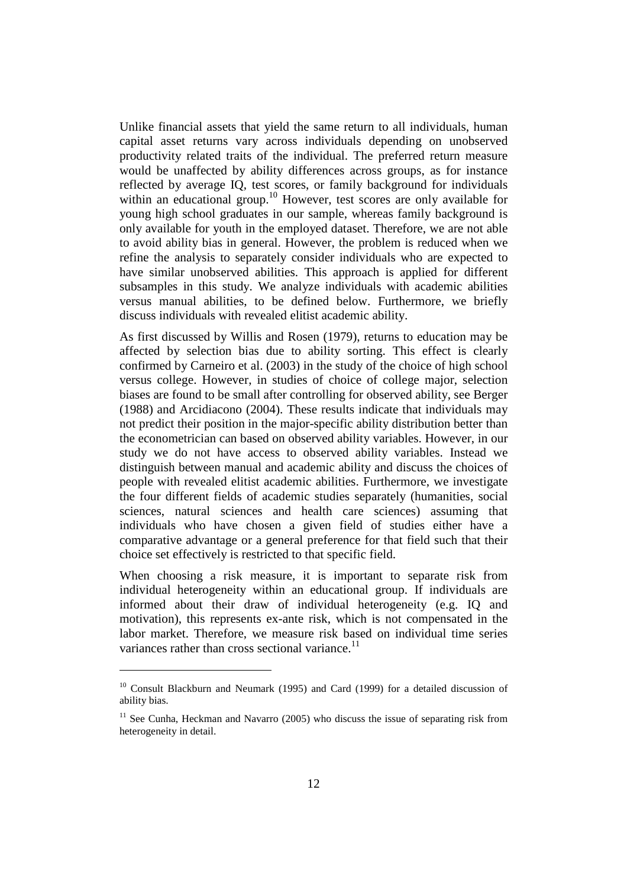Unlike financial assets that yield the same return to all individuals, human capital asset returns vary across individuals depending on unobserved productivity related traits of the individual. The preferred return measure would be unaffected by ability differences across groups, as for instance reflected by average IQ, test scores, or family background for individuals within an educational group.<sup>10</sup> However, test scores are only available for young high school graduates in our sample, whereas family background is only available for youth in the employed dataset. Therefore, we are not able to avoid ability bias in general. However, the problem is reduced when we refine the analysis to separately consider individuals who are expected to have similar unobserved abilities. This approach is applied for different subsamples in this study. We analyze individuals with academic abilities versus manual abilities, to be defined below. Furthermore, we briefly discuss individuals with revealed elitist academic ability.

As first discussed by Willis and Rosen (1979), returns to education may be affected by selection bias due to ability sorting. This effect is clearly confirmed by Carneiro et al. (2003) in the study of the choice of high school versus college. However, in studies of choice of college major, selection biases are found to be small after controlling for observed ability, see Berger (1988) and Arcidiacono (2004). These results indicate that individuals may not predict their position in the major-specific ability distribution better than the econometrician can based on observed ability variables. However, in our study we do not have access to observed ability variables. Instead we distinguish between manual and academic ability and discuss the choices of people with revealed elitist academic abilities. Furthermore, we investigate the four different fields of academic studies separately (humanities, social sciences, natural sciences and health care sciences) assuming that individuals who have chosen a given field of studies either have a comparative advantage or a general preference for that field such that their choice set effectively is restricted to that specific field.

When choosing a risk measure, it is important to separate risk from individual heterogeneity within an educational group. If individuals are informed about their draw of individual heterogeneity (e.g. IQ and motivation), this represents ex-ante risk, which is not compensated in the labor market. Therefore, we measure risk based on individual time series variances rather than cross sectional variance. $^{11}$ 

 $\overline{a}$ 

<sup>&</sup>lt;sup>10</sup> Consult Blackburn and Neumark (1995) and Card (1999) for a detailed discussion of ability bias.

 $11$  See Cunha, Heckman and Navarro (2005) who discuss the issue of separating risk from heterogeneity in detail.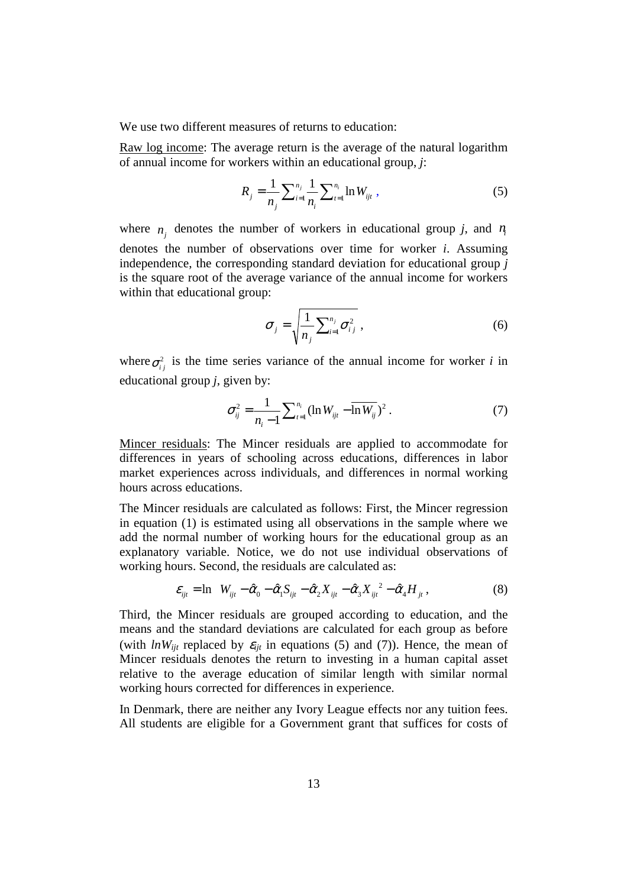We use two different measures of returns to education:

Raw log income: The average return is the average of the natural logarithm of annual income for workers within an educational group, *j*:

$$
R_{j} = \frac{1}{n_{j}} \sum_{i=1}^{n_{j}} \frac{1}{n_{i}} \sum_{t=1}^{n_{i}} \ln W_{ijt} , \qquad (5)
$$

where  $n_j$  denotes the number of workers in educational group *j*, and  $n_i$ denotes the number of observations over time for worker *i*. Assuming independence, the corresponding standard deviation for educational group *j* is the square root of the average variance of the annual income for workers within that educational group:

$$
\sigma_j = \sqrt{\frac{1}{n_j} \sum_{i=1}^{n_j} \sigma_{ij}^2},
$$
\n(6)

where  $\sigma_{ij}^2$  is the time series variance of the annual income for worker *i* in educational group *j*, given by:

$$
\sigma_{ij}^2 = \frac{1}{n_i - 1} \sum_{t=1}^{n_i} (\ln W_{ijt} - \overline{\ln W_{ij}})^2.
$$
 (7)

Mincer residuals: The Mincer residuals are applied to accommodate for differences in years of schooling across educations, differences in labor market experiences across individuals, and differences in normal working hours across educations.

The Mincer residuals are calculated as follows: First, the Mincer regression in equation (1) is estimated using all observations in the sample where we add the normal number of working hours for the educational group as an explanatory variable. Notice, we do not use individual observations of working hours. Second, the residuals are calculated as:

$$
\varepsilon_{ijt} = \ln W_{ijt} - \hat{\alpha}_0 - \hat{\alpha}_1 S_{ijt} - \hat{\alpha}_2 X_{ijt} - \hat{\alpha}_3 X_{ijt}^2 - \hat{\alpha}_4 H_{jt},
$$
\n(8)

Third, the Mincer residuals are grouped according to education, and the means and the standard deviations are calculated for each group as before (with  $lnW_{ijt}$  replaced by  $\varepsilon_{ijt}$  in equations (5) and (7)). Hence, the mean of Mincer residuals denotes the return to investing in a human capital asset relative to the average education of similar length with similar normal working hours corrected for differences in experience.

In Denmark, there are neither any Ivory League effects nor any tuition fees. All students are eligible for a Government grant that suffices for costs of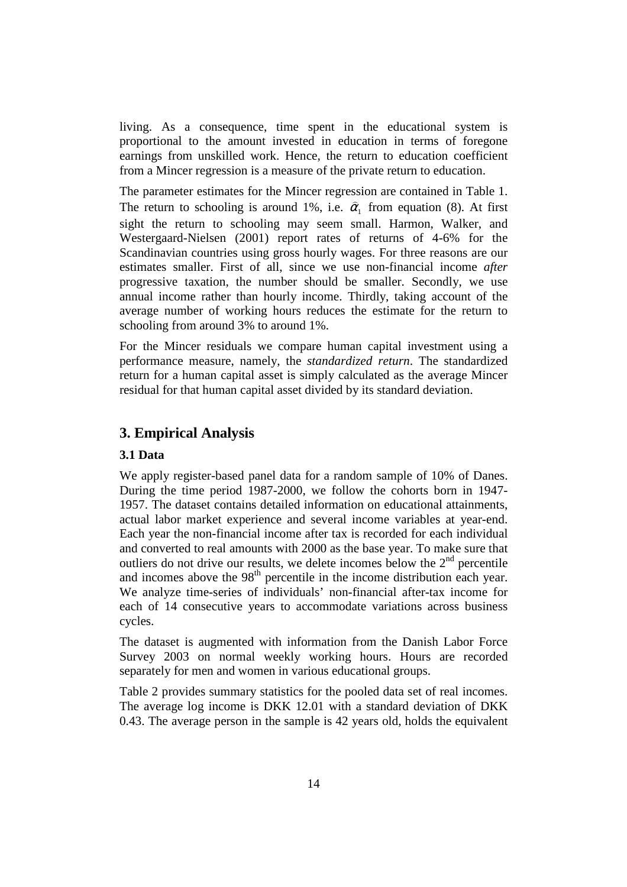living. As a consequence, time spent in the educational system is proportional to the amount invested in education in terms of foregone earnings from unskilled work. Hence, the return to education coefficient from a Mincer regression is a measure of the private return to education.

The parameter estimates for the Mincer regression are contained in Table 1. The return to schooling is around 1%, i.e.  $\hat{\alpha}_1$  from equation (8). At first sight the return to schooling may seem small. Harmon, Walker, and Westergaard-Nielsen (2001) report rates of returns of 4-6% for the Scandinavian countries using gross hourly wages. For three reasons are our estimates smaller. First of all, since we use non-financial income *after*  progressive taxation, the number should be smaller. Secondly, we use annual income rather than hourly income. Thirdly, taking account of the average number of working hours reduces the estimate for the return to schooling from around 3% to around 1%.

For the Mincer residuals we compare human capital investment using a performance measure, namely, the *standardized return*. The standardized return for a human capital asset is simply calculated as the average Mincer residual for that human capital asset divided by its standard deviation.

## **3. Empirical Analysis**

## **3.1 Data**

We apply register-based panel data for a random sample of 10% of Danes. During the time period 1987-2000, we follow the cohorts born in 1947- 1957. The dataset contains detailed information on educational attainments, actual labor market experience and several income variables at year-end. Each year the non-financial income after tax is recorded for each individual and converted to real amounts with 2000 as the base year. To make sure that outliers do not drive our results, we delete incomes below the  $2<sup>nd</sup>$  percentile and incomes above the  $98<sup>th</sup>$  percentile in the income distribution each year. We analyze time-series of individuals' non-financial after-tax income for each of 14 consecutive years to accommodate variations across business cycles.

The dataset is augmented with information from the Danish Labor Force Survey 2003 on normal weekly working hours. Hours are recorded separately for men and women in various educational groups.

Table 2 provides summary statistics for the pooled data set of real incomes. The average log income is DKK 12.01 with a standard deviation of DKK 0.43. The average person in the sample is 42 years old, holds the equivalent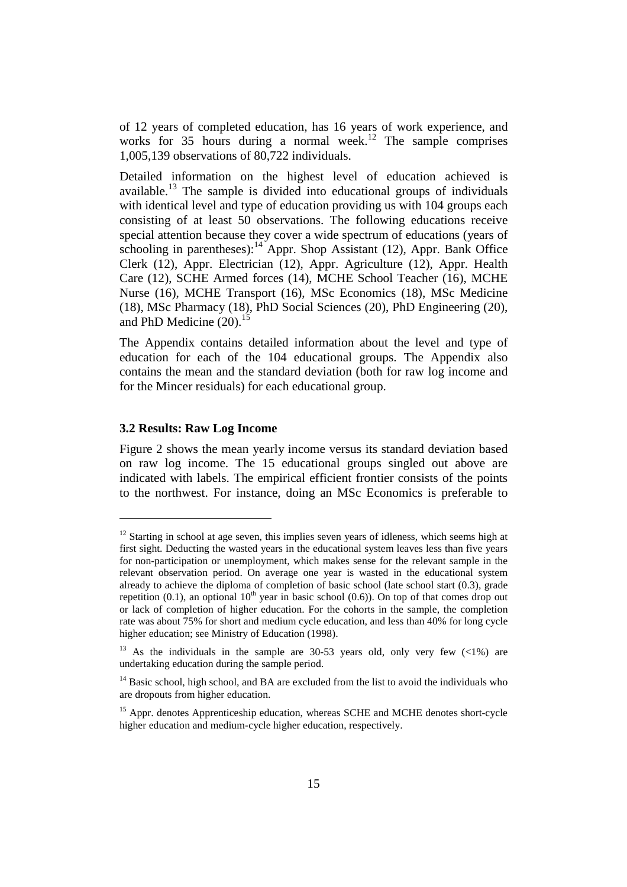of 12 years of completed education, has 16 years of work experience, and works for 35 hours during a normal week.<sup>12</sup> The sample comprises 1,005,139 observations of 80,722 individuals.

Detailed information on the highest level of education achieved is available.<sup>13</sup> The sample is divided into educational groups of individuals with identical level and type of education providing us with 104 groups each consisting of at least 50 observations. The following educations receive special attention because they cover a wide spectrum of educations (years of schooling in parentheses):<sup>14</sup> Appr. Shop Assistant (12), Appr. Bank Office Clerk (12), Appr. Electrician (12), Appr. Agriculture (12), Appr. Health Care (12), SCHE Armed forces (14), MCHE School Teacher (16), MCHE Nurse (16), MCHE Transport (16), MSc Economics (18), MSc Medicine (18), MSc Pharmacy (18), PhD Social Sciences (20), PhD Engineering (20), and PhD Medicine  $(20).$ <sup>15</sup>

The Appendix contains detailed information about the level and type of education for each of the 104 educational groups. The Appendix also contains the mean and the standard deviation (both for raw log income and for the Mincer residuals) for each educational group.

## **3.2 Results: Raw Log Income**

 $\overline{a}$ 

Figure 2 shows the mean yearly income versus its standard deviation based on raw log income. The 15 educational groups singled out above are indicated with labels. The empirical efficient frontier consists of the points to the northwest. For instance, doing an MSc Economics is preferable to

 $12$  Starting in school at age seven, this implies seven years of idleness, which seems high at first sight. Deducting the wasted years in the educational system leaves less than five years for non-participation or unemployment, which makes sense for the relevant sample in the relevant observation period. On average one year is wasted in the educational system already to achieve the diploma of completion of basic school (late school start (0.3), grade repetition (0.1), an optional  $10^{th}$  year in basic school (0.6)). On top of that comes drop out or lack of completion of higher education. For the cohorts in the sample, the completion rate was about 75% for short and medium cycle education, and less than 40% for long cycle higher education; see Ministry of Education (1998).

<sup>&</sup>lt;sup>13</sup> As the individuals in the sample are 30-53 years old, only very few  $\left(\langle 1\% \rangle \right)$  are undertaking education during the sample period.

<sup>&</sup>lt;sup>14</sup> Basic school, high school, and BA are excluded from the list to avoid the individuals who are dropouts from higher education.

<sup>&</sup>lt;sup>15</sup> Appr. denotes Apprenticeship education, whereas SCHE and MCHE denotes short-cycle higher education and medium-cycle higher education, respectively.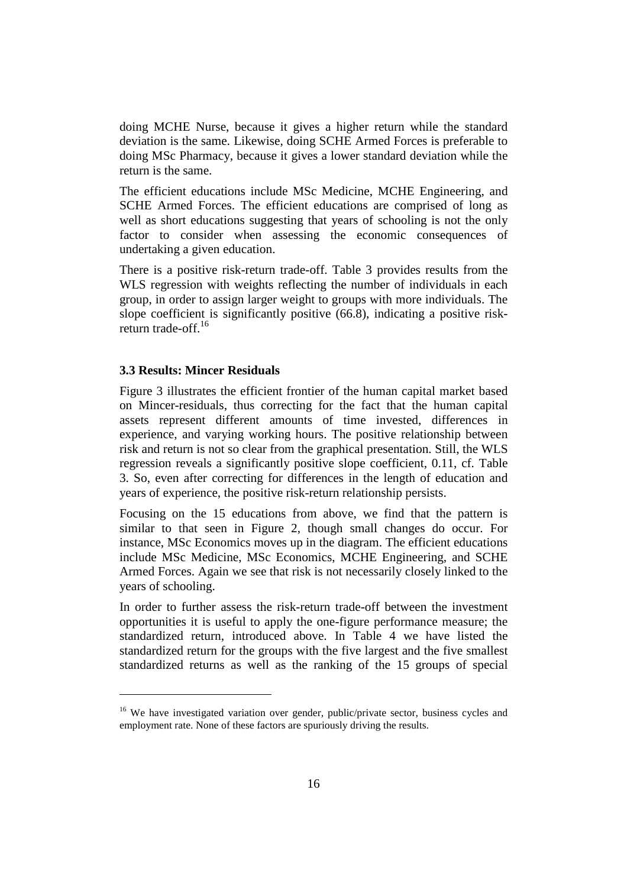doing MCHE Nurse, because it gives a higher return while the standard deviation is the same. Likewise, doing SCHE Armed Forces is preferable to doing MSc Pharmacy, because it gives a lower standard deviation while the return is the same.

The efficient educations include MSc Medicine, MCHE Engineering, and SCHE Armed Forces. The efficient educations are comprised of long as well as short educations suggesting that years of schooling is not the only factor to consider when assessing the economic consequences of undertaking a given education.

There is a positive risk-return trade-off. Table 3 provides results from the WLS regression with weights reflecting the number of individuals in each group, in order to assign larger weight to groups with more individuals. The slope coefficient is significantly positive (66.8), indicating a positive riskreturn trade-off.<sup>16</sup>

## **3.3 Results: Mincer Residuals**

 $\overline{a}$ 

Figure 3 illustrates the efficient frontier of the human capital market based on Mincer-residuals, thus correcting for the fact that the human capital assets represent different amounts of time invested, differences in experience, and varying working hours. The positive relationship between risk and return is not so clear from the graphical presentation. Still, the WLS regression reveals a significantly positive slope coefficient, 0.11, cf. Table 3. So, even after correcting for differences in the length of education and years of experience, the positive risk-return relationship persists.

Focusing on the 15 educations from above, we find that the pattern is similar to that seen in Figure 2, though small changes do occur. For instance, MSc Economics moves up in the diagram. The efficient educations include MSc Medicine, MSc Economics, MCHE Engineering, and SCHE Armed Forces. Again we see that risk is not necessarily closely linked to the years of schooling.

In order to further assess the risk-return trade-off between the investment opportunities it is useful to apply the one-figure performance measure; the standardized return, introduced above. In Table 4 we have listed the standardized return for the groups with the five largest and the five smallest standardized returns as well as the ranking of the 15 groups of special

<sup>&</sup>lt;sup>16</sup> We have investigated variation over gender, public/private sector, business cycles and employment rate. None of these factors are spuriously driving the results.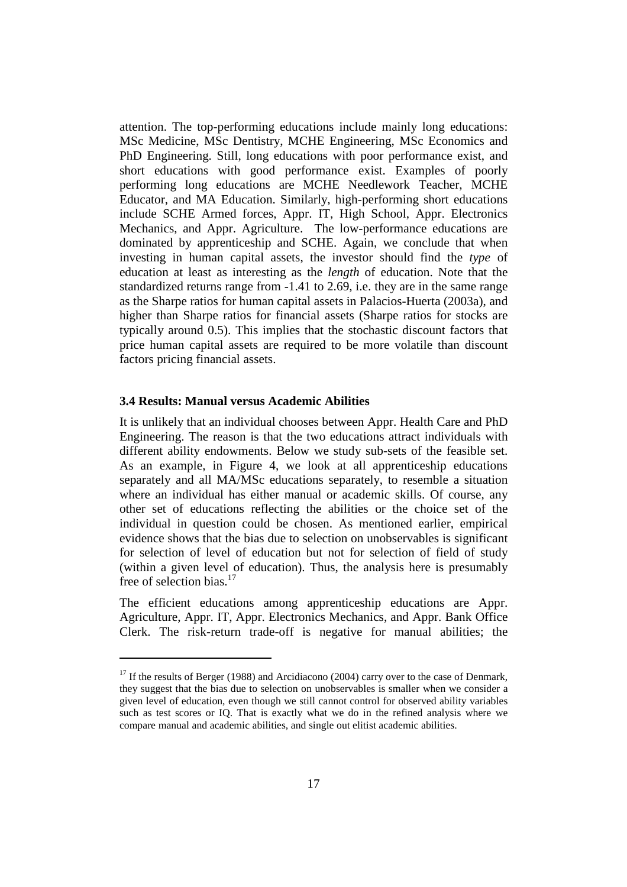attention. The top-performing educations include mainly long educations: MSc Medicine, MSc Dentistry, MCHE Engineering, MSc Economics and PhD Engineering. Still, long educations with poor performance exist, and short educations with good performance exist. Examples of poorly performing long educations are MCHE Needlework Teacher, MCHE Educator, and MA Education. Similarly, high-performing short educations include SCHE Armed forces, Appr. IT, High School, Appr. Electronics Mechanics, and Appr. Agriculture. The low-performance educations are dominated by apprenticeship and SCHE. Again, we conclude that when investing in human capital assets, the investor should find the *type* of education at least as interesting as the *length* of education. Note that the standardized returns range from -1.41 to 2.69, i.e. they are in the same range as the Sharpe ratios for human capital assets in Palacios-Huerta (2003a), and higher than Sharpe ratios for financial assets (Sharpe ratios for stocks are typically around 0.5). This implies that the stochastic discount factors that price human capital assets are required to be more volatile than discount factors pricing financial assets.

## **3.4 Results: Manual versus Academic Abilities**

 $\overline{a}$ 

It is unlikely that an individual chooses between Appr. Health Care and PhD Engineering. The reason is that the two educations attract individuals with different ability endowments. Below we study sub-sets of the feasible set. As an example, in Figure 4, we look at all apprenticeship educations separately and all MA/MSc educations separately, to resemble a situation where an individual has either manual or academic skills. Of course, any other set of educations reflecting the abilities or the choice set of the individual in question could be chosen. As mentioned earlier, empirical evidence shows that the bias due to selection on unobservables is significant for selection of level of education but not for selection of field of study (within a given level of education). Thus, the analysis here is presumably free of selection bias. $17$ 

The efficient educations among apprenticeship educations are Appr. Agriculture, Appr. IT, Appr. Electronics Mechanics, and Appr. Bank Office Clerk. The risk-return trade-off is negative for manual abilities; the

 $17$  If the results of Berger (1988) and Arcidiacono (2004) carry over to the case of Denmark, they suggest that the bias due to selection on unobservables is smaller when we consider a given level of education, even though we still cannot control for observed ability variables such as test scores or IQ. That is exactly what we do in the refined analysis where we compare manual and academic abilities, and single out elitist academic abilities.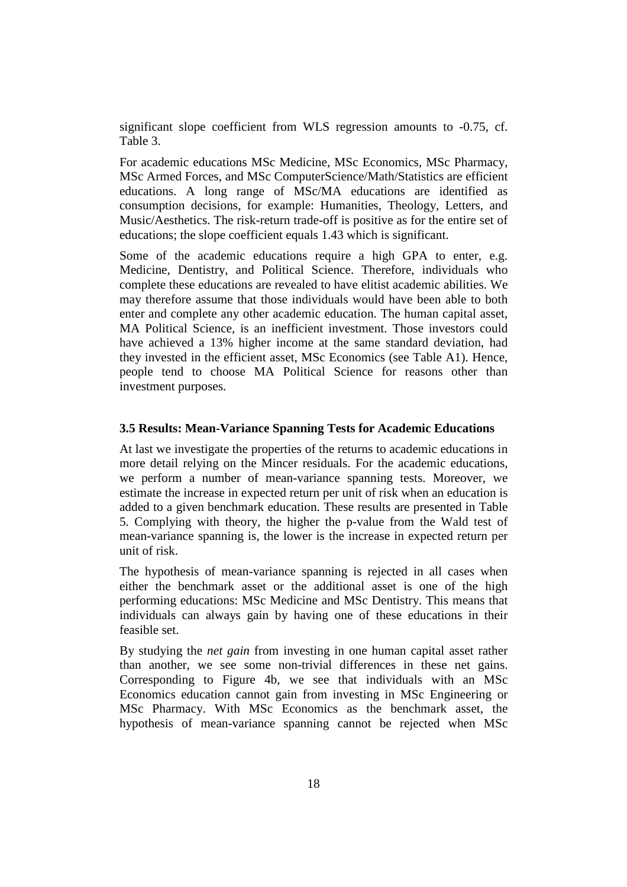significant slope coefficient from WLS regression amounts to -0.75, cf. Table 3.

For academic educations MSc Medicine, MSc Economics, MSc Pharmacy, MSc Armed Forces, and MSc ComputerScience/Math/Statistics are efficient educations. A long range of MSc/MA educations are identified as consumption decisions, for example: Humanities, Theology, Letters, and Music/Aesthetics. The risk-return trade-off is positive as for the entire set of educations; the slope coefficient equals 1.43 which is significant.

Some of the academic educations require a high GPA to enter, e.g. Medicine, Dentistry, and Political Science. Therefore, individuals who complete these educations are revealed to have elitist academic abilities. We may therefore assume that those individuals would have been able to both enter and complete any other academic education. The human capital asset, MA Political Science, is an inefficient investment. Those investors could have achieved a 13% higher income at the same standard deviation, had they invested in the efficient asset, MSc Economics (see Table A1). Hence, people tend to choose MA Political Science for reasons other than investment purposes.

## **3.5 Results: Mean-Variance Spanning Tests for Academic Educations**

At last we investigate the properties of the returns to academic educations in more detail relying on the Mincer residuals. For the academic educations, we perform a number of mean-variance spanning tests. Moreover, we estimate the increase in expected return per unit of risk when an education is added to a given benchmark education. These results are presented in Table 5. Complying with theory, the higher the p-value from the Wald test of mean-variance spanning is, the lower is the increase in expected return per unit of risk.

The hypothesis of mean-variance spanning is rejected in all cases when either the benchmark asset or the additional asset is one of the high performing educations: MSc Medicine and MSc Dentistry. This means that individuals can always gain by having one of these educations in their feasible set.

By studying the *net gain* from investing in one human capital asset rather than another, we see some non-trivial differences in these net gains. Corresponding to Figure 4b, we see that individuals with an MSc Economics education cannot gain from investing in MSc Engineering or MSc Pharmacy. With MSc Economics as the benchmark asset, the hypothesis of mean-variance spanning cannot be rejected when MSc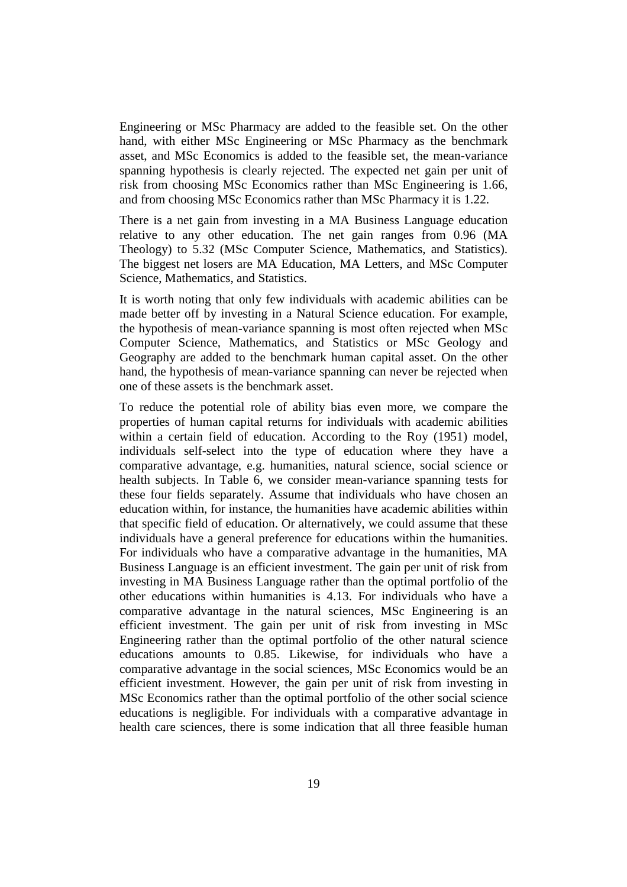Engineering or MSc Pharmacy are added to the feasible set. On the other hand, with either MSc Engineering or MSc Pharmacy as the benchmark asset, and MSc Economics is added to the feasible set, the mean-variance spanning hypothesis is clearly rejected. The expected net gain per unit of risk from choosing MSc Economics rather than MSc Engineering is 1.66, and from choosing MSc Economics rather than MSc Pharmacy it is 1.22.

There is a net gain from investing in a MA Business Language education relative to any other education. The net gain ranges from 0.96 (MA Theology) to 5.32 (MSc Computer Science, Mathematics, and Statistics). The biggest net losers are MA Education, MA Letters, and MSc Computer Science, Mathematics, and Statistics.

It is worth noting that only few individuals with academic abilities can be made better off by investing in a Natural Science education. For example, the hypothesis of mean-variance spanning is most often rejected when MSc Computer Science, Mathematics, and Statistics or MSc Geology and Geography are added to the benchmark human capital asset. On the other hand, the hypothesis of mean-variance spanning can never be rejected when one of these assets is the benchmark asset.

To reduce the potential role of ability bias even more, we compare the properties of human capital returns for individuals with academic abilities within a certain field of education. According to the Roy (1951) model, individuals self-select into the type of education where they have a comparative advantage, e.g. humanities, natural science, social science or health subjects. In Table 6, we consider mean-variance spanning tests for these four fields separately. Assume that individuals who have chosen an education within, for instance, the humanities have academic abilities within that specific field of education. Or alternatively, we could assume that these individuals have a general preference for educations within the humanities. For individuals who have a comparative advantage in the humanities, MA Business Language is an efficient investment. The gain per unit of risk from investing in MA Business Language rather than the optimal portfolio of the other educations within humanities is 4.13. For individuals who have a comparative advantage in the natural sciences, MSc Engineering is an efficient investment. The gain per unit of risk from investing in MSc Engineering rather than the optimal portfolio of the other natural science educations amounts to 0.85. Likewise, for individuals who have a comparative advantage in the social sciences, MSc Economics would be an efficient investment. However, the gain per unit of risk from investing in MSc Economics rather than the optimal portfolio of the other social science educations is negligible. For individuals with a comparative advantage in health care sciences, there is some indication that all three feasible human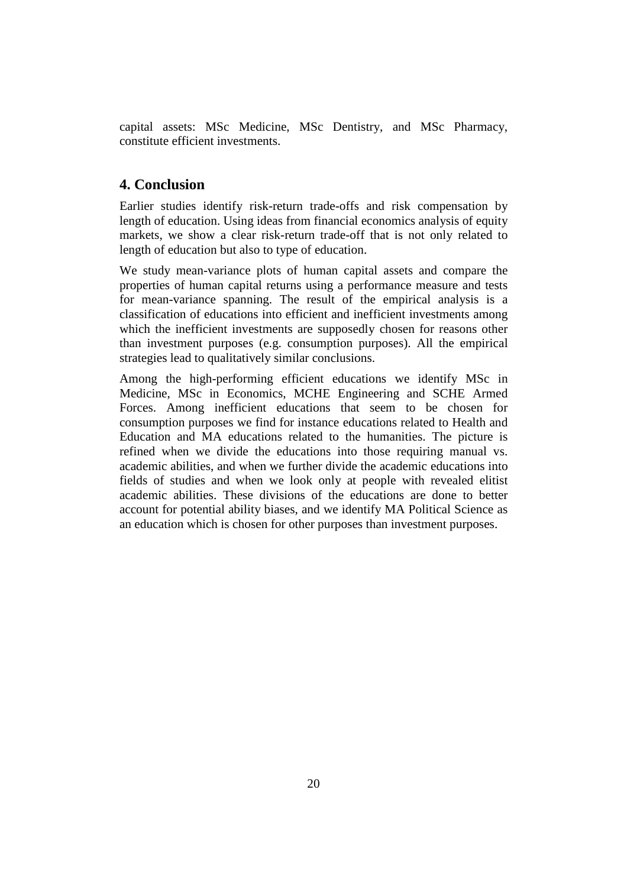capital assets: MSc Medicine, MSc Dentistry, and MSc Pharmacy, constitute efficient investments.

## **4. Conclusion**

Earlier studies identify risk-return trade-offs and risk compensation by length of education. Using ideas from financial economics analysis of equity markets, we show a clear risk-return trade-off that is not only related to length of education but also to type of education.

We study mean-variance plots of human capital assets and compare the properties of human capital returns using a performance measure and tests for mean-variance spanning. The result of the empirical analysis is a classification of educations into efficient and inefficient investments among which the inefficient investments are supposedly chosen for reasons other than investment purposes (e.g. consumption purposes). All the empirical strategies lead to qualitatively similar conclusions.

Among the high-performing efficient educations we identify MSc in Medicine, MSc in Economics, MCHE Engineering and SCHE Armed Forces. Among inefficient educations that seem to be chosen for consumption purposes we find for instance educations related to Health and Education and MA educations related to the humanities. The picture is refined when we divide the educations into those requiring manual vs. academic abilities, and when we further divide the academic educations into fields of studies and when we look only at people with revealed elitist academic abilities. These divisions of the educations are done to better account for potential ability biases, and we identify MA Political Science as an education which is chosen for other purposes than investment purposes.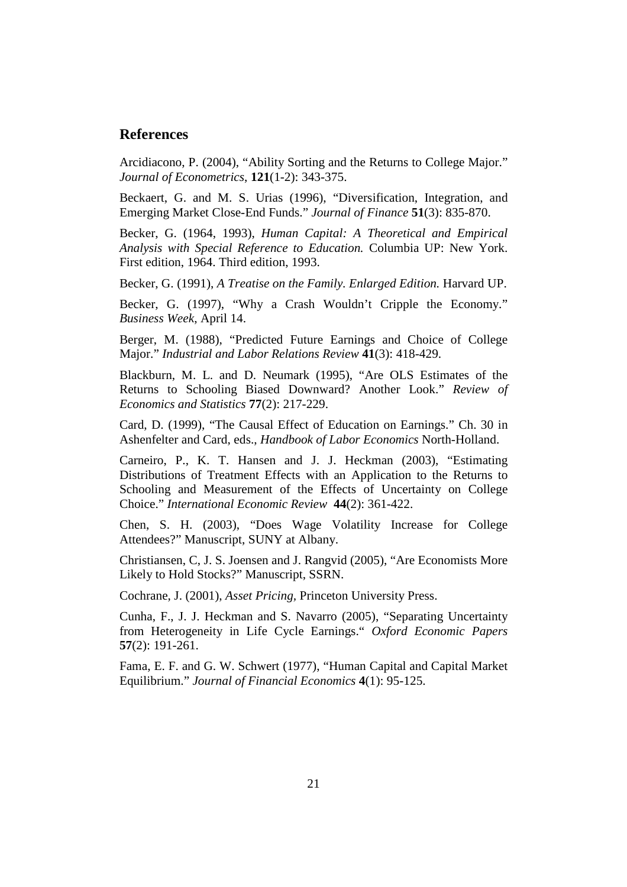## **References**

Arcidiacono, P. (2004), "Ability Sorting and the Returns to College Major." *Journal of Econometrics*, **121**(1-2): 343-375.

Beckaert, G. and M. S. Urias (1996), "Diversification, Integration, and Emerging Market Close-End Funds." *Journal of Finance* **51**(3): 835-870.

Becker, G. (1964, 1993), *Human Capital: A Theoretical and Empirical Analysis with Special Reference to Education.* Columbia UP: New York. First edition, 1964. Third edition, 1993.

Becker, G. (1991), *A Treatise on the Family. Enlarged Edition.* Harvard UP.

Becker, G. (1997), "Why a Crash Wouldn't Cripple the Economy." *Business Week*, April 14.

Berger, M. (1988), "Predicted Future Earnings and Choice of College Major." *Industrial and Labor Relations Review* **41**(3): 418-429.

Blackburn, M. L. and D. Neumark (1995), "Are OLS Estimates of the Returns to Schooling Biased Downward? Another Look." *Review of Economics and Statistics* **77**(2): 217-229.

Card, D. (1999), "The Causal Effect of Education on Earnings." Ch. 30 in Ashenfelter and Card, eds., *Handbook of Labor Economics* North-Holland.

Carneiro, P., K. T. Hansen and J. J. Heckman (2003), "Estimating Distributions of Treatment Effects with an Application to the Returns to Schooling and Measurement of the Effects of Uncertainty on College Choice." *International Economic Review* **44**(2): 361-422.

Chen, S. H. (2003), "Does Wage Volatility Increase for College Attendees?" Manuscript, SUNY at Albany.

Christiansen, C, J. S. Joensen and J. Rangvid (2005), "Are Economists More Likely to Hold Stocks?" Manuscript, SSRN.

Cochrane, J. (2001), *Asset Pricing,* Princeton University Press.

Cunha, F., J. J. Heckman and S. Navarro (2005), "Separating Uncertainty from Heterogeneity in Life Cycle Earnings." *Oxford Economic Papers*  **57**(2): 191-261.

Fama, E. F. and G. W. Schwert (1977), "Human Capital and Capital Market Equilibrium." *Journal of Financial Economics* **4**(1): 95-125.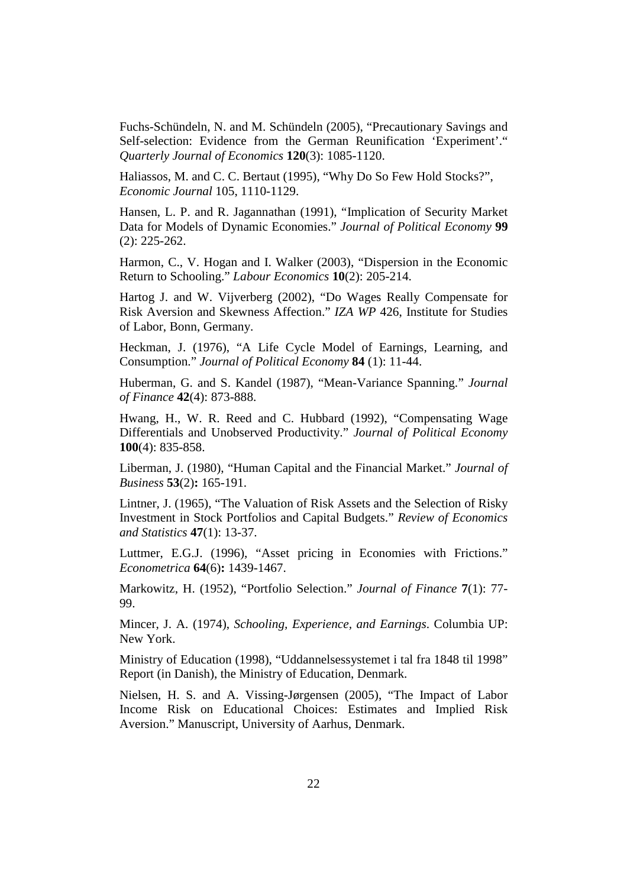Fuchs-Schündeln, N. and M. Schündeln (2005), "Precautionary Savings and Self-selection: Evidence from the German Reunification 'Experiment'." *Quarterly Journal of Economics* **120**(3): 1085-1120.

Haliassos, M. and C. C. Bertaut (1995), "Why Do So Few Hold Stocks?", *Economic Journal* 105, 1110-1129.

Hansen, L. P. and R. Jagannathan (1991), "Implication of Security Market Data for Models of Dynamic Economies." *Journal of Political Economy* **99**  (2): 225-262.

Harmon, C., V. Hogan and I. Walker (2003), "Dispersion in the Economic Return to Schooling." *Labour Economics* **10**(2): 205-214.

Hartog J. and W. Vijverberg (2002), "Do Wages Really Compensate for Risk Aversion and Skewness Affection." *IZA WP* 426, Institute for Studies of Labor, Bonn, Germany.

Heckman, J. (1976), "A Life Cycle Model of Earnings, Learning, and Consumption." *Journal of Political Economy* **84** (1): 11-44.

Huberman, G. and S. Kandel (1987), "Mean-Variance Spanning." *Journal of Finance* **42**(4): 873-888.

Hwang, H., W. R. Reed and C. Hubbard (1992), "Compensating Wage Differentials and Unobserved Productivity." *Journal of Political Economy* **100**(4): 835-858.

Liberman, J. (1980), "Human Capital and the Financial Market." *Journal of Business* **53**(2)**:** 165-191.

Lintner, J. (1965), "The Valuation of Risk Assets and the Selection of Risky Investment in Stock Portfolios and Capital Budgets." *Review of Economics and Statistics* **47**(1): 13-37.

Luttmer, E.G.J. (1996), "Asset pricing in Economies with Frictions." *Econometrica* **64**(6)**:** 1439-1467.

Markowitz, H. (1952), "Portfolio Selection." *Journal of Finance* **7**(1): 77- 99.

Mincer, J. A. (1974), *Schooling, Experience, and Earnings*. Columbia UP: New York.

Ministry of Education (1998), "Uddannelsessystemet i tal fra 1848 til 1998" Report (in Danish), the Ministry of Education, Denmark.

Nielsen, H. S. and A. Vissing-Jørgensen (2005), "The Impact of Labor Income Risk on Educational Choices: Estimates and Implied Risk Aversion." Manuscript, University of Aarhus, Denmark.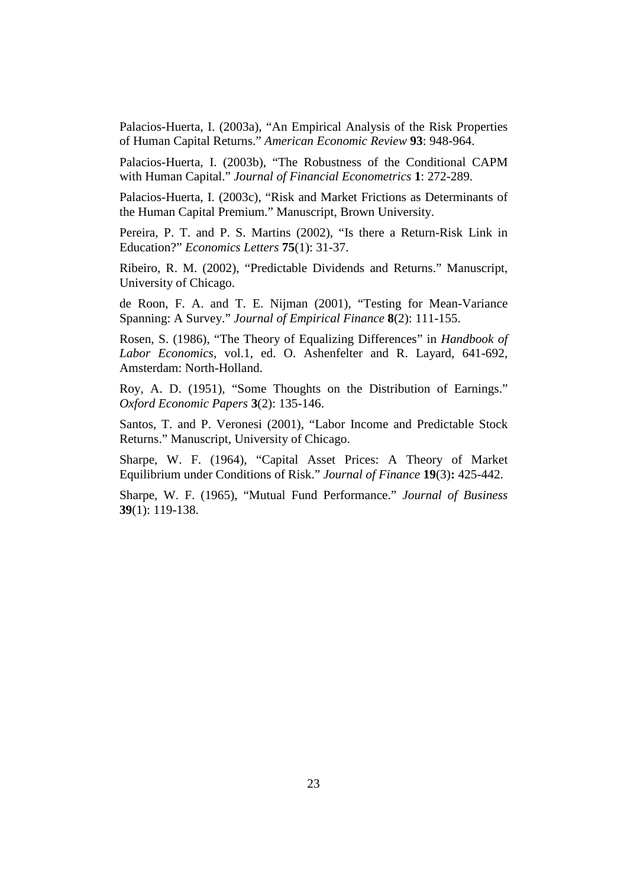Palacios-Huerta, I. (2003a), "An Empirical Analysis of the Risk Properties of Human Capital Returns." *American Economic Review* **93**: 948-964.

Palacios-Huerta, I. (2003b), "The Robustness of the Conditional CAPM with Human Capital." *Journal of Financial Econometrics* **1**: 272-289.

Palacios-Huerta, I. (2003c), "Risk and Market Frictions as Determinants of the Human Capital Premium." Manuscript, Brown University.

Pereira, P. T. and P. S. Martins (2002), "Is there a Return-Risk Link in Education?" *Economics Letters* **75**(1): 31-37.

Ribeiro, R. M. (2002), "Predictable Dividends and Returns." Manuscript, University of Chicago.

de Roon, F. A. and T. E. Nijman (2001), "Testing for Mean-Variance Spanning: A Survey." *Journal of Empirical Finance* **8**(2): 111-155.

Rosen, S. (1986), "The Theory of Equalizing Differences" in *Handbook of Labor Economics*, vol.1, ed. O. Ashenfelter and R. Layard, 641-692, Amsterdam: North-Holland.

Roy, A. D. (1951), "Some Thoughts on the Distribution of Earnings." *Oxford Economic Papers* **3**(2): 135-146.

Santos, T. and P. Veronesi (2001), "Labor Income and Predictable Stock Returns." Manuscript, University of Chicago.

Sharpe, W. F. (1964), "Capital Asset Prices: A Theory of Market Equilibrium under Conditions of Risk." *Journal of Finance* **19**(3)**:** 425-442.

Sharpe, W. F. (1965), "Mutual Fund Performance." *Journal of Business* **39**(1): 119-138.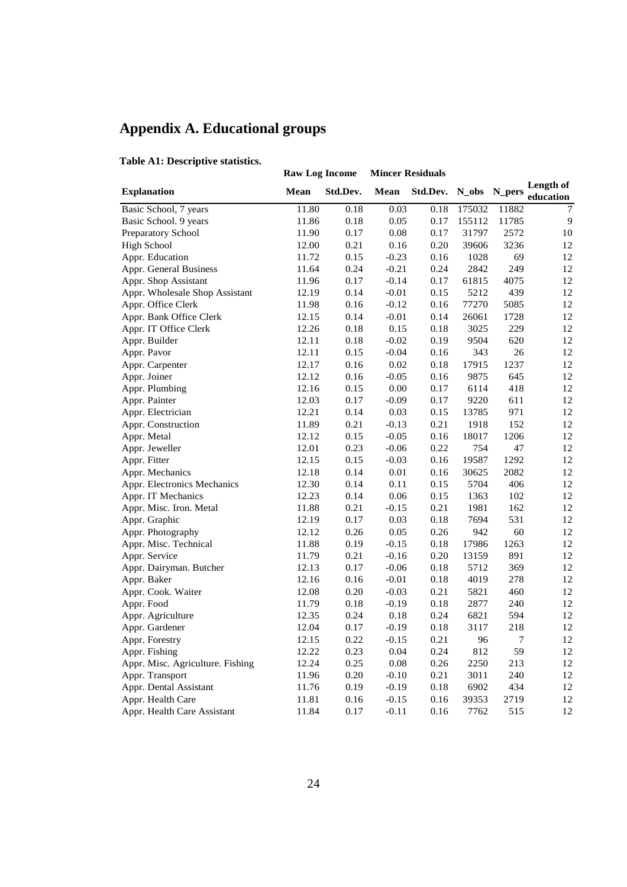## **Appendix A. Educational groups**

## **Table A1: Descriptive statistics.**

|                                  | <b>Raw Log Income</b> |          | <b>Mincer Residuals</b> |          |        |        |                        |
|----------------------------------|-----------------------|----------|-------------------------|----------|--------|--------|------------------------|
| <b>Explanation</b>               | Mean                  | Std.Dev. | Mean                    | Std.Dev. | N_obs  | N_pers | Length of<br>education |
| Basic School, 7 years            | 11.80                 | 0.18     | 0.03                    | 0.18     | 175032 | 11882  | 7                      |
| Basic School. 9 years            | 11.86                 | 0.18     | 0.05                    | 0.17     | 155112 | 11785  | 9                      |
| <b>Preparatory School</b>        | 11.90                 | 0.17     | 0.08                    | 0.17     | 31797  | 2572   | 10                     |
| High School                      | 12.00                 | 0.21     | 0.16                    | 0.20     | 39606  | 3236   | 12                     |
| Appr. Education                  | 11.72                 | 0.15     | $-0.23$                 | 0.16     | 1028   | 69     | 12                     |
| Appr. General Business           | 11.64                 | 0.24     | $-0.21$                 | 0.24     | 2842   | 249    | 12                     |
| Appr. Shop Assistant             | 11.96                 | 0.17     | $-0.14$                 | 0.17     | 61815  | 4075   | 12                     |
| Appr. Wholesale Shop Assistant   | 12.19                 | 0.14     | $-0.01$                 | 0.15     | 5212   | 439    | 12                     |
| Appr. Office Clerk               | 11.98                 | 0.16     | $-0.12$                 | 0.16     | 77270  | 5085   | 12                     |
| Appr. Bank Office Clerk          | 12.15                 | 0.14     | $-0.01$                 | 0.14     | 26061  | 1728   | 12                     |
| Appr. IT Office Clerk            | 12.26                 | 0.18     | 0.15                    | 0.18     | 3025   | 229    | 12                     |
| Appr. Builder                    | 12.11                 | 0.18     | $-0.02$                 | 0.19     | 9504   | 620    | 12                     |
| Appr. Pavor                      | 12.11                 | 0.15     | $-0.04$                 | 0.16     | 343    | 26     | 12                     |
| Appr. Carpenter                  | 12.17                 | 0.16     | 0.02                    | 0.18     | 17915  | 1237   | 12                     |
| Appr. Joiner                     | 12.12                 | 0.16     | $-0.05$                 | 0.16     | 9875   | 645    | 12                     |
| Appr. Plumbing                   | 12.16                 | 0.15     | 0.00                    | 0.17     | 6114   | 418    | 12                     |
| Appr. Painter                    | 12.03                 | 0.17     | $-0.09$                 | 0.17     | 9220   | 611    | 12                     |
| Appr. Electrician                | 12.21                 | 0.14     | 0.03                    | 0.15     | 13785  | 971    | 12                     |
| Appr. Construction               | 11.89                 | 0.21     | $-0.13$                 | 0.21     | 1918   | 152    | 12                     |
| Appr. Metal                      | 12.12                 | 0.15     | $-0.05$                 | 0.16     | 18017  | 1206   | 12                     |
| Appr. Jeweller                   | 12.01                 | 0.23     | $-0.06$                 | 0.22     | 754    | 47     | 12                     |
| Appr. Fitter                     | 12.15                 | 0.15     | $-0.03$                 | 0.16     | 19587  | 1292   | 12                     |
| Appr. Mechanics                  | 12.18                 | 0.14     | 0.01                    | 0.16     | 30625  | 2082   | 12                     |
| Appr. Electronics Mechanics      | 12.30                 | 0.14     | 0.11                    | 0.15     | 5704   | 406    | 12                     |
| Appr. IT Mechanics               | 12.23                 | 0.14     | 0.06                    | 0.15     | 1363   | 102    | 12                     |
| Appr. Misc. Iron. Metal          | 11.88                 | 0.21     | $-0.15$                 | 0.21     | 1981   | 162    | 12                     |
| Appr. Graphic                    | 12.19                 | 0.17     | 0.03                    | 0.18     | 7694   | 531    | 12                     |
| Appr. Photography                | 12.12                 | 0.26     | 0.05                    | 0.26     | 942    | 60     | 12                     |
| Appr. Misc. Technical            | 11.88                 | 0.19     | $-0.15$                 | 0.18     | 17986  | 1263   | 12                     |
| Appr. Service                    | 11.79                 | 0.21     | $-0.16$                 | 0.20     | 13159  | 891    | 12                     |
| Appr. Dairyman. Butcher          | 12.13                 | 0.17     | $-0.06$                 | 0.18     | 5712   | 369    | 12                     |
| Appr. Baker                      | 12.16                 | 0.16     | $-0.01$                 | 0.18     | 4019   | 278    | 12                     |
| Appr. Cook. Waiter               | 12.08                 | 0.20     | $-0.03$                 | 0.21     | 5821   | 460    | 12                     |
| Appr. Food                       | 11.79                 | 0.18     | $-0.19$                 | 0.18     | 2877   | 240    | 12                     |
| Appr. Agriculture                | 12.35                 | 0.24     | 0.18                    | 0.24     | 6821   | 594    | 12                     |
| Appr. Gardener                   | 12.04                 | 0.17     | $-0.19$                 | 0.18     | 3117   | 218    | 12                     |
| Appr. Forestry                   | 12.15                 | 0.22     | $-0.15$                 | 0.21     | 96     | 7      | 12                     |
| Appr. Fishing                    | 12.22                 | 0.23     | 0.04                    | 0.24     | 812    | 59     | 12                     |
| Appr. Misc. Agriculture. Fishing | 12.24                 | 0.25     | 0.08                    | 0.26     | 2250   | 213    | 12                     |
| Appr. Transport                  | 11.96                 | 0.20     | $-0.10$                 | 0.21     | 3011   | 240    | 12                     |
| Appr. Dental Assistant           | 11.76                 | 0.19     | $-0.19$                 | 0.18     | 6902   | 434    | 12                     |
| Appr. Health Care                | 11.81                 | 0.16     | $-0.15$                 | 0.16     | 39353  | 2719   | 12                     |
| Appr. Health Care Assistant      | 11.84                 | 0.17     | $-0.11$                 | 0.16     | 7762   | 515    | 12                     |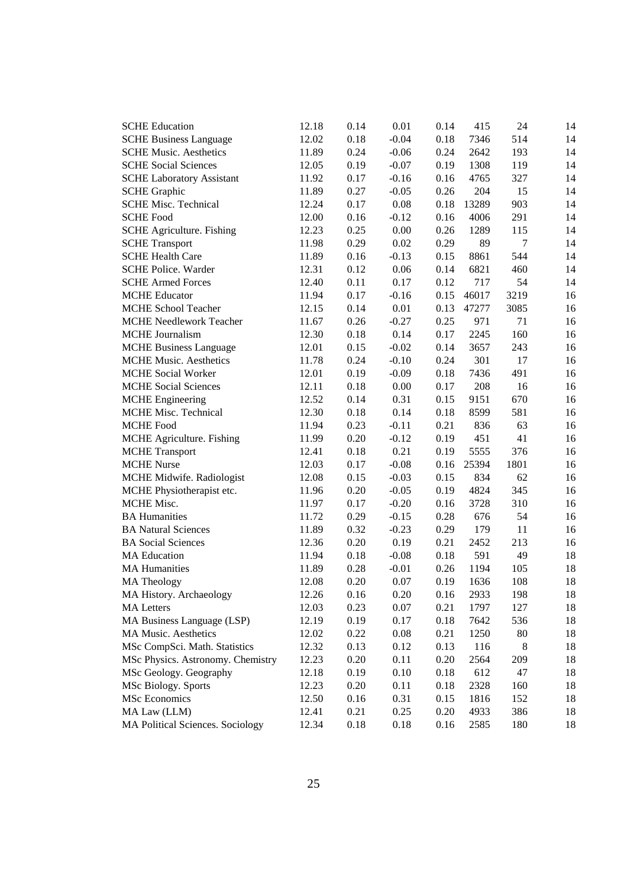| <b>SCHE Education</b>                   | 12.18 | 0.14 | 0.01    | 0.14 | 415   | 24             | 14 |
|-----------------------------------------|-------|------|---------|------|-------|----------------|----|
| <b>SCHE Business Language</b>           | 12.02 | 0.18 | $-0.04$ | 0.18 | 7346  | 514            | 14 |
| <b>SCHE Music. Aesthetics</b>           | 11.89 | 0.24 | $-0.06$ | 0.24 | 2642  | 193            | 14 |
| <b>SCHE Social Sciences</b>             | 12.05 | 0.19 | $-0.07$ | 0.19 | 1308  | 119            | 14 |
| <b>SCHE Laboratory Assistant</b>        | 11.92 | 0.17 | $-0.16$ | 0.16 | 4765  | 327            | 14 |
| <b>SCHE Graphic</b>                     | 11.89 | 0.27 | $-0.05$ | 0.26 | 204   | 15             | 14 |
| <b>SCHE Misc. Technical</b>             | 12.24 | 0.17 | 0.08    | 0.18 | 13289 | 903            | 14 |
| <b>SCHE Food</b>                        | 12.00 | 0.16 | $-0.12$ | 0.16 | 4006  | 291            | 14 |
| <b>SCHE Agriculture. Fishing</b>        | 12.23 | 0.25 | 0.00    | 0.26 | 1289  | 115            | 14 |
| <b>SCHE Transport</b>                   | 11.98 | 0.29 | 0.02    | 0.29 | 89    | $\overline{7}$ | 14 |
| <b>SCHE Health Care</b>                 | 11.89 | 0.16 | $-0.13$ | 0.15 | 8861  | 544            | 14 |
| <b>SCHE Police. Warder</b>              | 12.31 | 0.12 | 0.06    | 0.14 | 6821  | 460            | 14 |
| <b>SCHE Armed Forces</b>                | 12.40 | 0.11 | 0.17    | 0.12 | 717   | 54             | 14 |
| <b>MCHE</b> Educator                    | 11.94 | 0.17 | $-0.16$ | 0.15 | 46017 | 3219           | 16 |
| <b>MCHE School Teacher</b>              | 12.15 | 0.14 | 0.01    | 0.13 | 47277 | 3085           | 16 |
| <b>MCHE Needlework Teacher</b>          | 11.67 | 0.26 | $-0.27$ | 0.25 | 971   | 71             | 16 |
| <b>MCHE</b> Journalism                  | 12.30 | 0.18 | 0.14    | 0.17 | 2245  | 160            | 16 |
| <b>MCHE Business Language</b>           | 12.01 | 0.15 | $-0.02$ | 0.14 | 3657  | 243            | 16 |
| <b>MCHE Music. Aesthetics</b>           | 11.78 | 0.24 | $-0.10$ | 0.24 | 301   | 17             | 16 |
| <b>MCHE Social Worker</b>               | 12.01 | 0.19 | $-0.09$ | 0.18 | 7436  | 491            | 16 |
| <b>MCHE Social Sciences</b>             | 12.11 | 0.18 | 0.00    | 0.17 | 208   | 16             | 16 |
| <b>MCHE</b> Engineering                 | 12.52 | 0.14 | 0.31    | 0.15 | 9151  | 670            | 16 |
| MCHE Misc. Technical                    | 12.30 | 0.18 | 0.14    | 0.18 | 8599  | 581            | 16 |
| <b>MCHE</b> Food                        | 11.94 | 0.23 | $-0.11$ | 0.21 | 836   | 63             | 16 |
| MCHE Agriculture. Fishing               | 11.99 | 0.20 | $-0.12$ | 0.19 | 451   | 41             | 16 |
| <b>MCHE</b> Transport                   | 12.41 | 0.18 | 0.21    | 0.19 | 5555  | 376            | 16 |
| <b>MCHE</b> Nurse                       | 12.03 | 0.17 | $-0.08$ | 0.16 | 25394 | 1801           | 16 |
| MCHE Midwife. Radiologist               | 12.08 | 0.15 | $-0.03$ | 0.15 | 834   | 62             | 16 |
| MCHE Physiotherapist etc.               | 11.96 | 0.20 | $-0.05$ | 0.19 | 4824  | 345            | 16 |
| <b>MCHE Misc.</b>                       | 11.97 | 0.17 | $-0.20$ | 0.16 | 3728  | 310            | 16 |
| <b>BA Humanities</b>                    | 11.72 | 0.29 | $-0.15$ | 0.28 | 676   | 54             | 16 |
| <b>BA Natural Sciences</b>              | 11.89 | 0.32 | $-0.23$ | 0.29 | 179   | 11             | 16 |
| <b>BA Social Sciences</b>               | 12.36 | 0.20 | 0.19    | 0.21 | 2452  | 213            | 16 |
| <b>MA</b> Education                     | 11.94 | 0.18 | $-0.08$ | 0.18 | 591   | 49             | 18 |
| <b>MA Humanities</b>                    | 11.89 | 0.28 | $-0.01$ | 0.26 | 1194  | 105            | 18 |
| <b>MA Theology</b>                      | 12.08 | 0.20 | 0.07    | 0.19 | 1636  | 108            | 18 |
| MA History. Archaeology                 | 12.26 | 0.16 | 0.20    | 0.16 | 2933  | 198            | 18 |
| <b>MA</b> Letters                       | 12.03 | 0.23 | 0.07    | 0.21 | 1797  | 127            | 18 |
| MA Business Language (LSP)              | 12.19 | 0.19 | 0.17    | 0.18 | 7642  | 536            | 18 |
| MA Music. Aesthetics                    | 12.02 | 0.22 | 0.08    | 0.21 | 1250  | 80             | 18 |
| MSc CompSci. Math. Statistics           | 12.32 | 0.13 | 0.12    | 0.13 | 116   | $\,8\,$        | 18 |
| MSc Physics. Astronomy. Chemistry       | 12.23 | 0.20 | 0.11    | 0.20 | 2564  | 209            | 18 |
| MSc Geology. Geography                  | 12.18 | 0.19 | 0.10    | 0.18 | 612   | 47             | 18 |
| <b>MSc Biology. Sports</b>              | 12.23 | 0.20 | 0.11    | 0.18 | 2328  | 160            | 18 |
| <b>MSc Economics</b>                    | 12.50 | 0.16 | 0.31    | 0.15 | 1816  | 152            | 18 |
| MA Law (LLM)                            | 12.41 | 0.21 | 0.25    | 0.20 | 4933  | 386            | 18 |
| <b>MA Political Sciences. Sociology</b> | 12.34 | 0.18 | 0.18    | 0.16 | 2585  | 180            | 18 |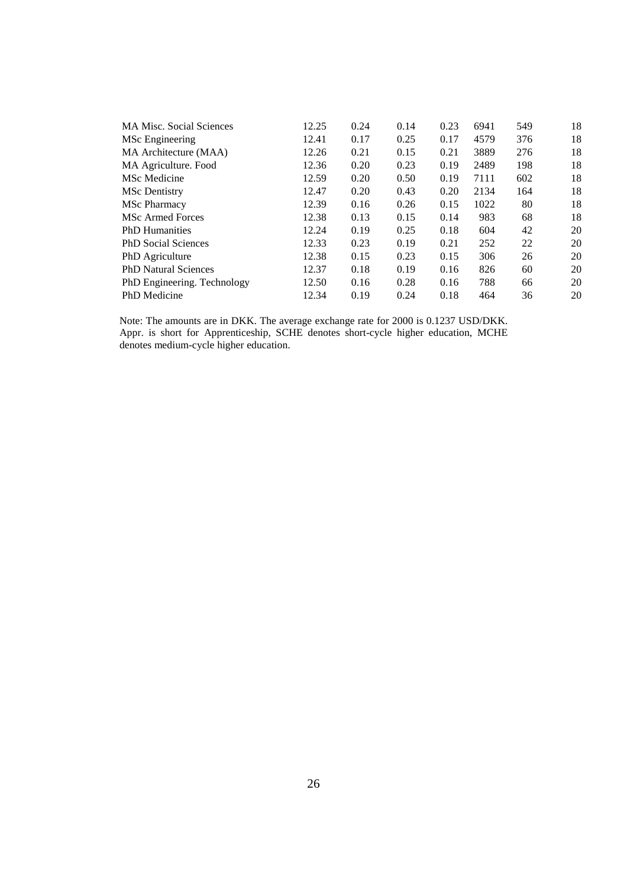| <b>MA Misc. Social Sciences</b> | 12.25 | 0.24 | 0.14 | 0.23 | 6941 | 549 | 18 |
|---------------------------------|-------|------|------|------|------|-----|----|
| MSc Engineering                 | 12.41 | 0.17 | 0.25 | 0.17 | 4579 | 376 | 18 |
| MA Architecture (MAA)           | 12.26 | 0.21 | 0.15 | 0.21 | 3889 | 276 | 18 |
| MA Agriculture. Food            | 12.36 | 0.20 | 0.23 | 0.19 | 2489 | 198 | 18 |
| MSc Medicine                    | 12.59 | 0.20 | 0.50 | 0.19 | 7111 | 602 | 18 |
| <b>MSc Dentistry</b>            | 12.47 | 0.20 | 0.43 | 0.20 | 2134 | 164 | 18 |
| MSc Pharmacy                    | 12.39 | 0.16 | 0.26 | 0.15 | 1022 | 80  | 18 |
| MSc Armed Forces                | 12.38 | 0.13 | 0.15 | 0.14 | 983  | 68  | 18 |
| <b>PhD</b> Humanities           | 12.24 | 0.19 | 0.25 | 0.18 | 604  | 42  | 20 |
| <b>PhD</b> Social Sciences      | 12.33 | 0.23 | 0.19 | 0.21 | 252  | 22  | 20 |
| PhD Agriculture                 | 12.38 | 0.15 | 0.23 | 0.15 | 306  | 26  | 20 |
| <b>PhD Natural Sciences</b>     | 12.37 | 0.18 | 0.19 | 0.16 | 826  | 60  | 20 |
| PhD Engineering. Technology     | 12.50 | 0.16 | 0.28 | 0.16 | 788  | 66  | 20 |
| PhD Medicine                    | 12.34 | 0.19 | 0.24 | 0.18 | 464  | 36  | 20 |

Note: The amounts are in DKK. The average exchange rate for 2000 is 0.1237 USD/DKK. Appr. is short for Apprenticeship, SCHE denotes short-cycle higher education, MCHE denotes medium-cycle higher education.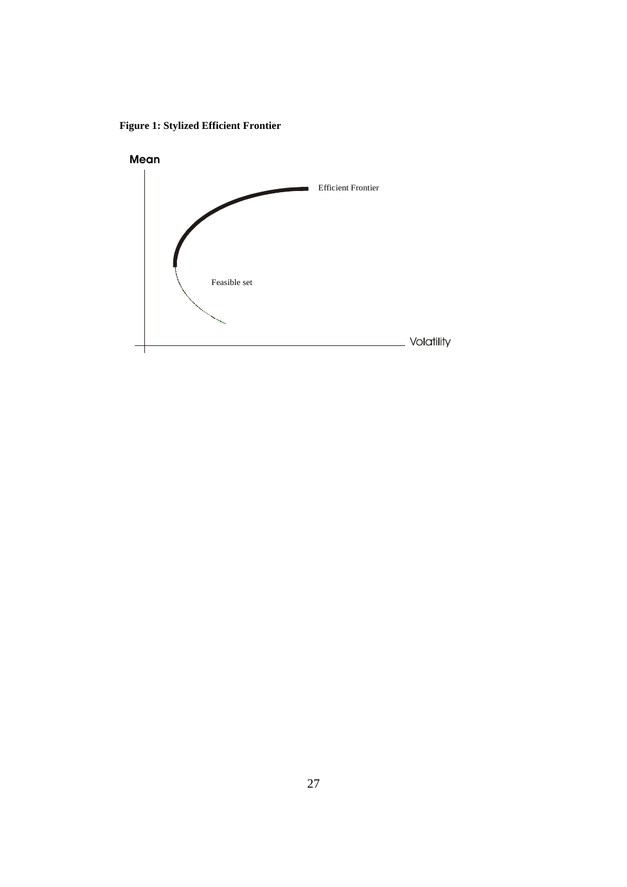**Figure 1: Stylized Efficient Frontier**

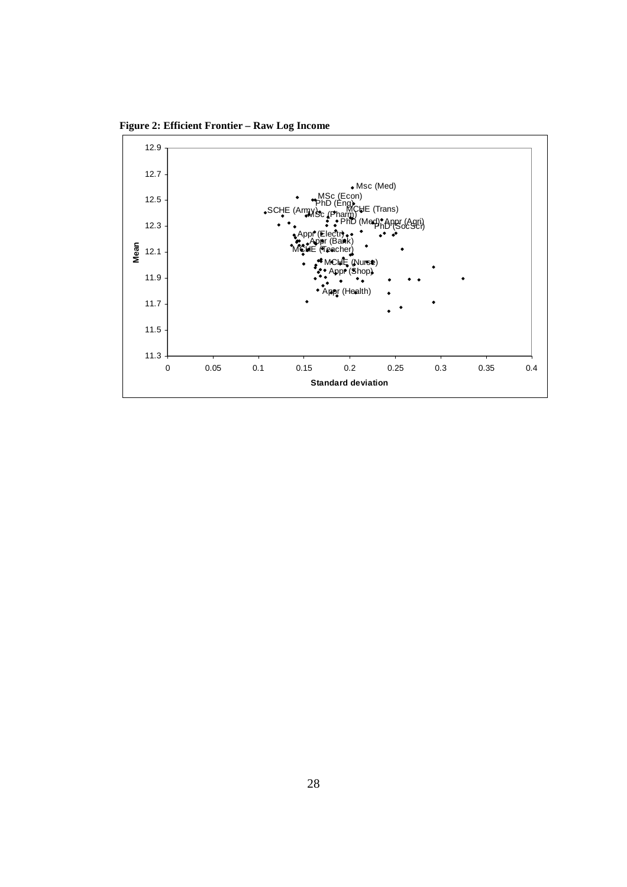**Figure 2: Efficient Frontier – Raw Log Income** 

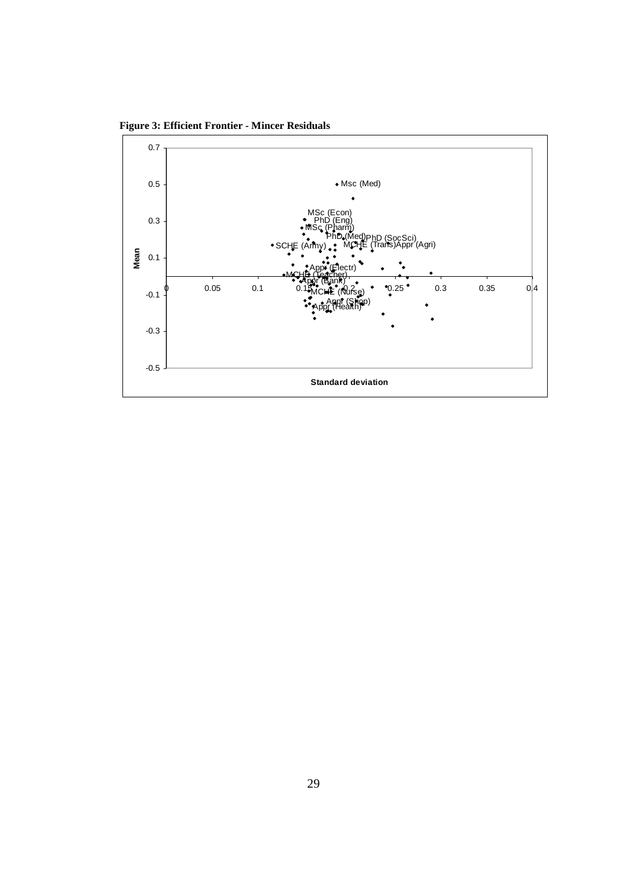**Figure 3: Efficient Frontier - Mincer Residuals** 

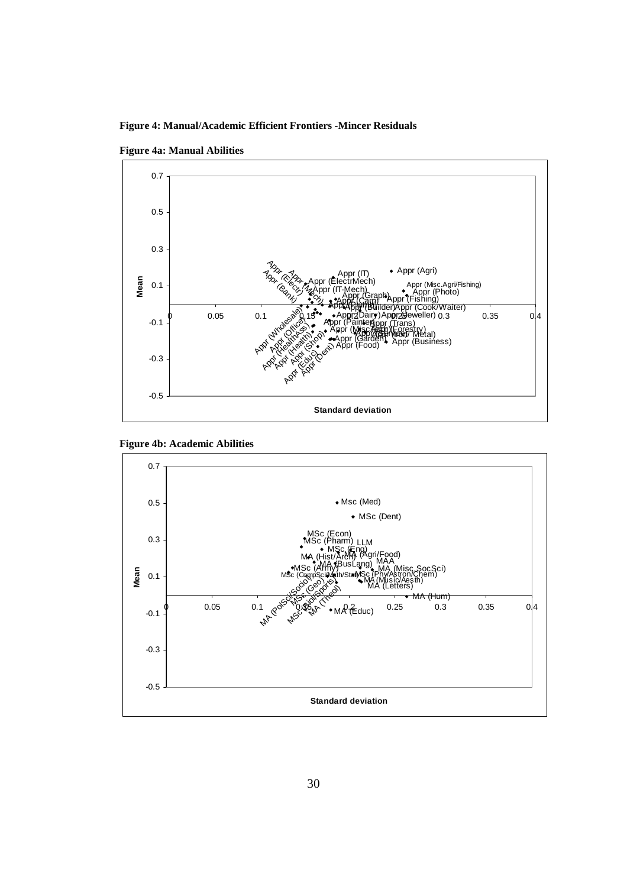**Figure 4: Manual/Academic Efficient Frontiers -Mincer Residuals** 







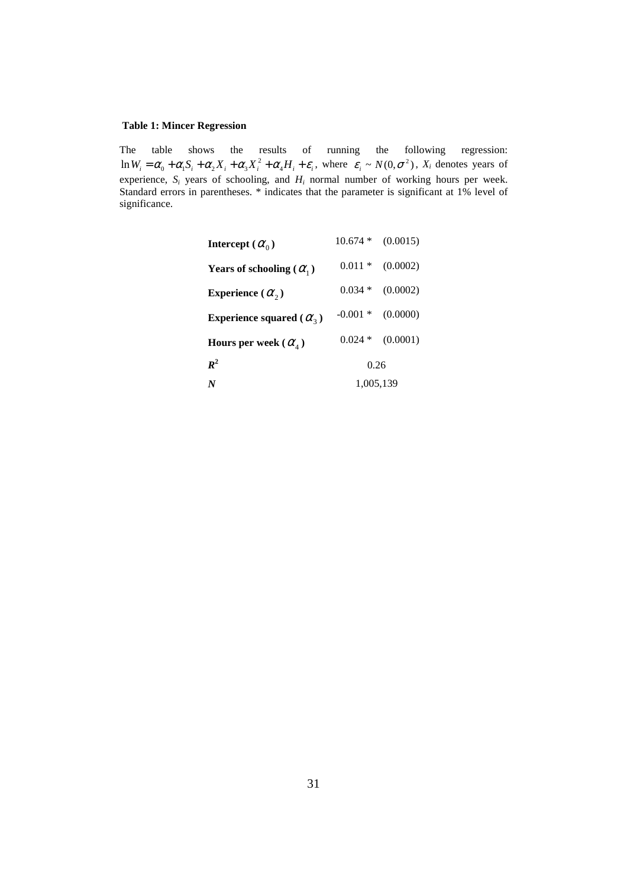## **Table 1: Mincer Regression**

The table shows the results of running the following regression:  $\ln W_i = \alpha_0 + \alpha_1 S_i + \alpha_2 X_i + \alpha_3 X_i^2 + \alpha_4 H_i + \varepsilon_i$ , where  $\varepsilon_i \sim N(0, \sigma^2)$ ,  $X_i$  denotes years of experience,  $S_i$  years of schooling, and  $H_i$  normal number of working hours per week. Standard errors in parentheses. \* indicates that the parameter is significant at 1% level of significance.

| <b>Intercept</b> $(\alpha_0)$                       |           | $10.674 * (0.0015)$ |  |  |  |  |
|-----------------------------------------------------|-----------|---------------------|--|--|--|--|
| Years of schooling $(\alpha_1)$                     | $0.011*$  | (0.0002)            |  |  |  |  |
| Experience ( $\alpha$ <sub>2</sub> )                | $0.034 *$ | (0.0002)            |  |  |  |  |
| Experience squared ( $\alpha_3$ )                   | $-0.001*$ | (0.0000)            |  |  |  |  |
| Hours per week ( $\alpha_{\scriptscriptstyle{A}}$ ) | $0.024*$  | (0.0001)            |  |  |  |  |
| $\mathbb{R}^2$                                      | 0.26      |                     |  |  |  |  |
| $\boldsymbol{N}$                                    | 1,005,139 |                     |  |  |  |  |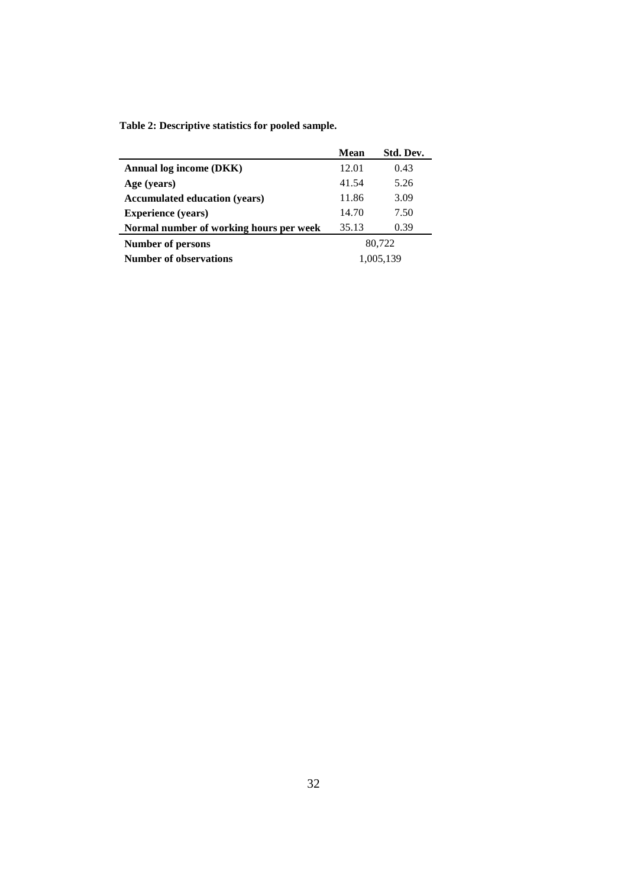**Table 2: Descriptive statistics for pooled sample.** 

|                                         | Mean      | Std. Dev. |  |  |  |
|-----------------------------------------|-----------|-----------|--|--|--|
| Annual log income (DKK)                 | 12.01     | 0.43      |  |  |  |
| Age (years)                             | 41.54     | 5.26      |  |  |  |
| <b>Accumulated education (years)</b>    | 11.86     | 3.09      |  |  |  |
| <b>Experience</b> (vears)               | 14.70     | 7.50      |  |  |  |
| Normal number of working hours per week | 35.13     | 0.39      |  |  |  |
| <b>Number of persons</b>                | 80,722    |           |  |  |  |
| <b>Number of observations</b>           | 1,005,139 |           |  |  |  |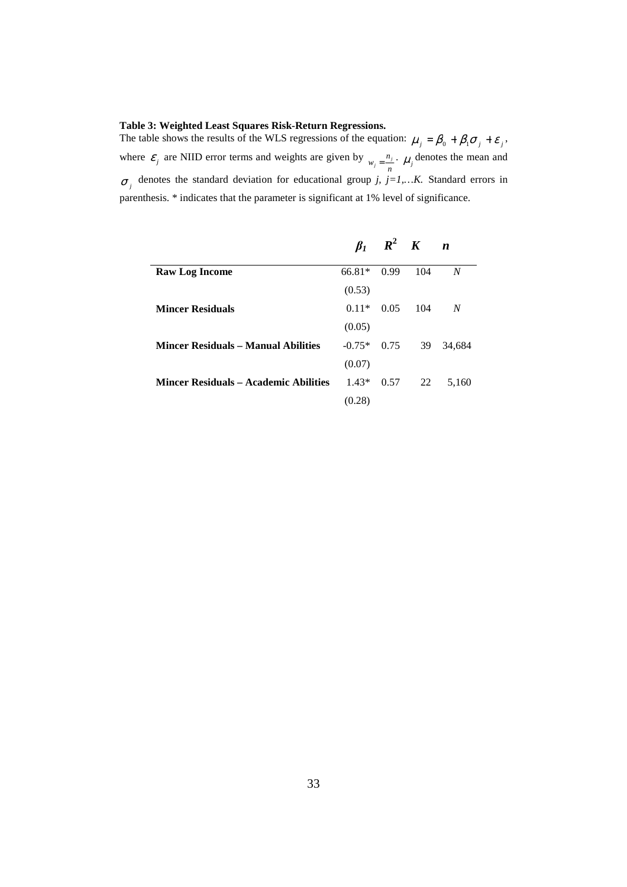#### **Table 3: Weighted Least Squares Risk-Return Regressions.**

The table shows the results of the WLS regressions of the equation:  $\mu_j = \beta_0 + \beta_1 \sigma_j + \varepsilon_j$ . where  $\varepsilon_j$  are NIID error terms and weights are given by *n*  $w_j = \frac{n_j}{n} \cdot \mu_j$  denotes the mean and  $\sigma_j$  denotes the standard deviation for educational group *j, j=1,...K.* Standard errors in parenthesis. \* indicates that the parameter is significant at 1% level of significance.

|                                              |          | $\beta_1$ $R^2$ $K$ |     | $\boldsymbol{n}$ |
|----------------------------------------------|----------|---------------------|-----|------------------|
| <b>Raw Log Income</b>                        | $66.81*$ | 0.99                | 104 | N                |
|                                              | (0.53)   |                     |     |                  |
| <b>Mincer Residuals</b>                      | $0.11*$  | 0.05                | 104 | N                |
|                                              | (0.05)   |                     |     |                  |
| <b>Mincer Residuals – Manual Abilities</b>   | $-0.75*$ | 0.75                | 39  | 34,684           |
|                                              | (0.07)   |                     |     |                  |
| <b>Mincer Residuals – Academic Abilities</b> | $1.43*$  | 0.57                | 22  | 5,160            |
|                                              | (0.28)   |                     |     |                  |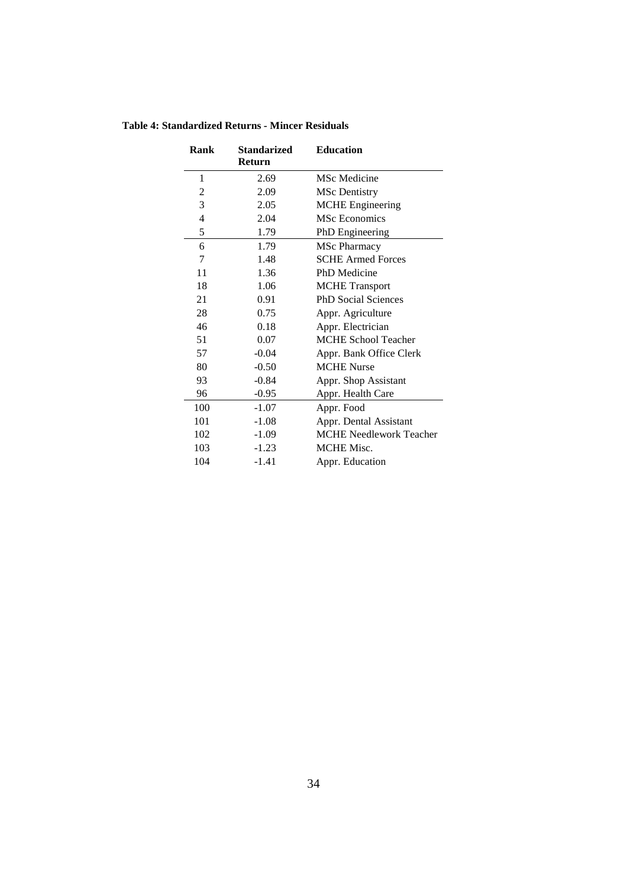| Rank | <b>Standarized</b><br>Return | <b>Education</b>               |
|------|------------------------------|--------------------------------|
| 1    | 2.69                         | MSc Medicine                   |
| 2    | 2.09                         | MSc Dentistry                  |
| 3    | 2.05                         | <b>MCHE</b> Engineering        |
| 4    | 2.04                         | <b>MSc Economics</b>           |
| 5    | 1.79                         | PhD Engineering                |
| 6    | 1.79                         | <b>MSc Pharmacy</b>            |
| 7    | 1.48                         | <b>SCHE Armed Forces</b>       |
| 11   | 1.36                         | PhD Medicine                   |
| 18   | 1.06                         | <b>MCHE</b> Transport          |
| 21   | 0.91                         | <b>PhD</b> Social Sciences     |
| 28   | 0.75                         | Appr. Agriculture              |
| 46   | 0.18                         | Appr. Electrician              |
| 51   | 0.07                         | <b>MCHE School Teacher</b>     |
| 57   | $-0.04$                      | Appr. Bank Office Clerk        |
| 80   | $-0.50$                      | <b>MCHE Nurse</b>              |
| 93   | $-0.84$                      | Appr. Shop Assistant           |
| 96   | $-0.95$                      | Appr. Health Care              |
| 100  | $-1.07$                      | Appr. Food                     |
| 101  | $-1.08$                      | Appr. Dental Assistant         |
| 102  | $-1.09$                      | <b>MCHE Needlework Teacher</b> |
| 103  | $-1.23$                      | <b>MCHE Misc.</b>              |
| 104  | -1.41                        | Appr. Education                |

## **Table 4: Standardized Returns - Mincer Residuals**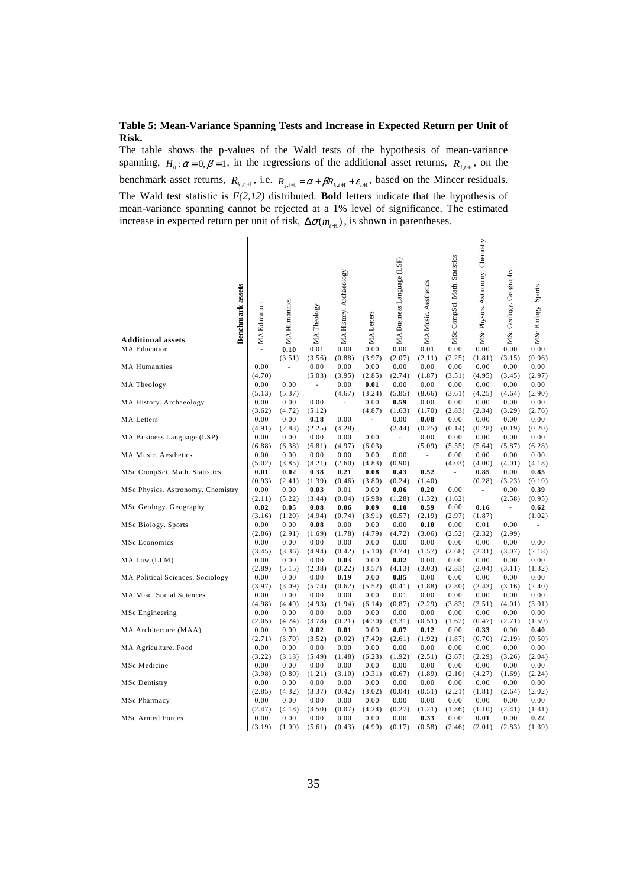#### **Table 5: Mean-Variance Spanning Tests and Increase in Expected Return per Unit of Risk.**

The table shows the p-values of the Wald tests of the hypothesis of mean-variance spanning,  $H_0: \alpha = 0, \beta = 1$ , in the regressions of the additional asset returns,  $R_{j,t+1}$ , on the benchmark asset returns,  $R_{k,t+1}$ , i.e.  $R_{j,t+1} = \alpha + \beta R_{k,t+1} + \varepsilon_{t+1}$ , based on the Mincer residuals. The Wald test statistic is *F(2,12)* distributed. **Bold** letters indicate that the hypothesis of mean-variance spanning cannot be rejected at a 1% level of significance. The estimated increase in expected return per unit of risk,  $\Delta \sigma(m_{t+1})$ , is shown in parentheses.

| Benchmark assets<br><b>Additional assets</b> | <b>MA Education</b>      | <b>MA</b> Humanities     | MA Theology              | MA History. Archaeology  | <b>MA</b> Letters        | MA Business Language (LSP) | MA Music. Aesthetics     | MSc CompSci. Math. Statistics | MSc Physics. Astronomy. Chemistry | MSc Geology. Geography   | MSc Biology. Sports      |
|----------------------------------------------|--------------------------|--------------------------|--------------------------|--------------------------|--------------------------|----------------------------|--------------------------|-------------------------------|-----------------------------------|--------------------------|--------------------------|
| <b>MA</b> Education                          | ÷,                       | 0.10                     | 0.01                     | 0.00                     | 0.00                     | 0.00                       | 0.01                     | 0.00                          | 0.00                              | 0.00                     | 0.00                     |
| <b>MA</b> Humanities                         | 0.00<br>(4.70)           | (3.51)<br>ä,             | (3.56)<br>0.00<br>(5.03) | (0.88)<br>0.00<br>(3.95) | (3.97)<br>0.00<br>(2.85) | (2.07)<br>0.00<br>(2.74)   | (2.11)<br>0.00<br>(1.87) | (2.25)<br>0.00<br>(3.51)      | (1.81)<br>0.00<br>(4.95)          | (3.15)<br>0.00<br>(3.45) | (0.96)<br>0.00<br>(2.97) |
| MA Theology                                  | 0.00<br>(5.13)           | 0.00<br>(5.37)           |                          | 0.00<br>(4.67)           | 0.01<br>(3.24)           | 0.00<br>(5.85)             | 0.00<br>(8.66)           | 0.00<br>(3.61)                | 0.00<br>(4.25)                    | 0.00<br>(4.64)           | 0.00<br>(2.90)           |
| MA History. Archaeology                      | 0.00<br>(3.62)           | 0.00<br>(4.72)           | 0.00<br>(5.12)           |                          | 0.00<br>(4.87)           | 0.59<br>(1.63)             | 0.00<br>(1.70)           | 0.00<br>(2.83)                | 0.00<br>(2.34)                    | 0.00<br>(3.29)           | 0.00<br>(2.76)           |
| <b>MA</b> Letters                            | 0.00<br>(4.91)           | 0.00<br>(2.83)           | 0.18<br>(2.25)           | 0.00<br>(4.28)           |                          | 0.00<br>(2.44)             | 0.08<br>(0.25)           | 0.00<br>(0.14)                | 0.00<br>(0.28)                    | 0.00<br>(0.19)           | 0.00<br>(0.20)           |
| MA Business Language (LSP)                   | 0.00                     | 0.00                     | 0.00                     | 0.00                     | 0.00                     | $\frac{1}{2}$              | 0.00                     | 0.00                          | 0.00                              | 0.00                     | 0.00                     |
| MA Music. Aesthetics                         | (6.88)<br>0.00           | (6.38)<br>0.00           | (6.81)<br>0.00           | (4.97)<br>0.00           | (6.03)<br>0.00           | 0.00                       | (5.09)                   | (5.55)<br>0.00                | (5.64)<br>0.00                    | (5.87)<br>0.00           | (6.28)<br>0.00           |
| MSc CompSci. Math. Statistics                | (5.02)<br>0.01           | (3.85)<br>0.02           | (8.21)<br>0.38           | (2.60)<br>0.21           | (4.83)<br>0.08           | (0.90)<br>0.43             | 0.52                     | (4.03)                        | (4.00)<br>0.85                    | (4.01)<br>0.00           | (4.18)<br>0.85           |
| MSc Physics. Astronomy. Chemistry            | (0.93)<br>0.00           | (2.41)<br>0.00           | (1.39)<br>0.03           | (0.46)<br>0.01           | (3.80)<br>0.00           | (0.24)<br>0.06             | (1.40)<br>0.20           | 0.00                          | (0.28)<br>ä,                      | (3.23)<br>0.00           | (0.19)<br>0.39           |
| MSc Geology. Geography                       | (2.11)<br>0.02           | (5.22)<br>0.05           | (3.44)<br>0.08           | (0.04)<br>0.06           | (6.98)<br>0.09           | (1.28)<br>0.10             | (1.32)<br>0.59           | (1.62)<br>0.00                | 0.16                              | (2.58)                   | (0.95)<br>0.62           |
| MSc Biology. Sports                          | (3.16)<br>0.00           | (1.20)<br>0.00           | (4.94)<br>0.08           | (0.74)<br>0.00           | (3.91)<br>0.00           | (0.57)<br>0.00             | (2.19)<br>0.10           | (2.97)<br>0.00                | (1.87)<br>0.01                    | 0.00                     | (1.02)                   |
| MSc Economics                                | (2.86)<br>0.00           | (2.91)<br>0.00           | (1.69)<br>0.00           | (1.78)<br>0.00           | (4.79)<br>0.00           | (4.72)<br>0.00             | (3.06)<br>0.00           | (2.52)<br>0.00                | (2.32)<br>0.00                    | (2.99)<br>0.00           | 0.00                     |
| MA Law (LLM)                                 | (3.45)<br>0.00           | (3.36)<br>0.00           | (4.94)<br>0.00           | (0.42)<br>0.03           | (5.10)<br>0.00           | (3.74)<br>0.02             | (1.57)<br>0.00           | (2.68)<br>0.00                | (2.31)<br>0.00                    | (3.07)<br>0.00           | (2.18)<br>0.00           |
| MA Political Sciences. Sociology             | (2.89)<br>0.00           | (5.15)<br>0.00           | (2.38)<br>0.00           | (0.22)<br>0.19           | (3.57)<br>0.00           | (4.13)<br>0.85             | (3.03)<br>0.00           | (2.33)<br>0.00                | (2.04)<br>0.00                    | (3.11)<br>0.00           | (1.32)<br>0.00           |
| MA Misc. Social Sciences                     | (3.97)<br>0.00           | (3.09)<br>0.00           | (5.74)<br>0.00           | (0.62)<br>0.00           | (5.52)<br>0.00           | (0.41)<br>0.01             | (1.88)<br>0.00           | (2.80)<br>0.00                | (2.43)<br>0.00                    | (3.16)<br>0.00           | (2.40)<br>0.00           |
| MSc Engineering                              | (4.98)<br>0.00           | (4.49)<br>0.00           | (4.93)<br>0.00           | (1.94)<br>0.00           | (6.14)<br>0.00           | (0.87)<br>0.00             | (2.29)<br>0.00           | (3.83)<br>0.00                | (3.51)<br>0.00                    | (4.01)<br>0.00           | (3.01)<br>0.00           |
| MA Architecture (MAA)                        | (2.05)<br>0.00           | (4.24)<br>0.00           | (3.78)<br>0.02           | (0.21)<br>0.01           | (4.30)<br>0.00           | (3.31)<br>0.07             | (0.51)<br>0.12           | (1.62)<br>0.00                | (0.47)<br>0.33                    | (2.71)<br>0.00           | (1.59)<br>0.40           |
| MA Agriculture. Food                         | (2.71)<br>0.00<br>(3.22) | (3.70)<br>0.00           | (3.52)<br>0.00<br>(5.49) | (0.02)<br>0.00<br>(1.48) | (7.40)<br>0.00           | (2.61)<br>0.00             | (1.92)<br>0.00<br>(2.51) | (1.87)<br>0.00                | (0.70)<br>0.00<br>(2.29)          | (2.19)<br>0.00<br>(3.26) | (0.50)<br>0.00<br>(2.04) |
| MSc Medicine                                 | 0.00                     | (3.13)<br>0.00           | 0.00                     | 0.00                     | (6.23)<br>0.00           | (1.92)<br>0.00             | 0.00                     | (2.67)<br>0.00                | 0.00                              | 0.00                     | 0.00                     |
| MSc Dentistry                                | (3.98)<br>0.00           | (0.80)<br>0.00           | (1.21)<br>0.00           | (3.10)<br>0.00           | (0.31)<br>0.00           | (0.67)<br>0.00             | (1.89)<br>0.00           | (2.10)<br>0.00                | (4.27)<br>0.00                    | (1.69)<br>0.00           | (2.24)<br>0.00           |
| MSc Pharmacy                                 | (2.85)<br>0.00           | (4.32)<br>0.00           | (3.37)<br>0.00           | (0.42)<br>0.00           | (3.02)<br>0.00           | (0.04)<br>0.00             | (0.51)<br>0.00           | (2.21)<br>0.00                | (1.81)<br>0.00                    | (2.64)<br>0.00           | (2.02)<br>0.00           |
| MSc Armed Forces                             | (2.47)<br>0.00<br>(3.19) | (4.18)<br>0.00<br>(1.99) | (3.50)<br>0.00<br>(5.61) | (0.07)<br>0.00<br>(0.43) | (4.24)<br>0.00<br>(4.99) | (0.27)<br>0.00<br>(0.17)   | (1.21)<br>0.33<br>(0.58) | (1.86)<br>0.00<br>(2.46)      | (1.10)<br>0.01<br>(2.01)          | (2.41)<br>0.00<br>(2.83) | (1.31)<br>0.22<br>(1.39) |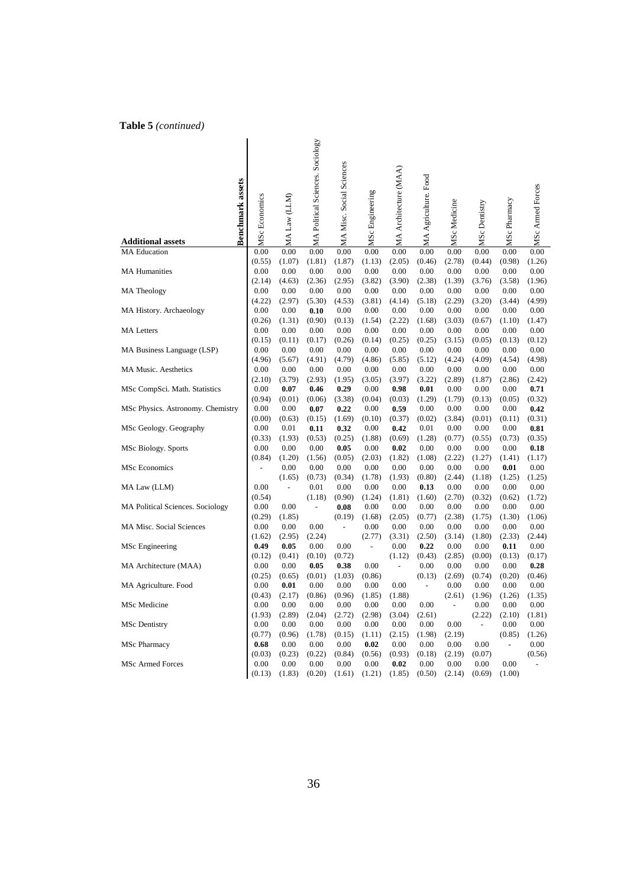## **Table 5** *(continued)*

| <b>Benchmark</b> assets<br><b>Additional assets</b> | MSc Economics  | MA Law (LLM)   | MA Political Sciences. Sociology | MA Misc. Social Sciences | MSc Engineering | MA Architecture (MAA) | MA Agriculture. Food | MSc Medicine   | MSc Dentistry  | MSc Pharmacy   | MSc Armed Forces |
|-----------------------------------------------------|----------------|----------------|----------------------------------|--------------------------|-----------------|-----------------------|----------------------|----------------|----------------|----------------|------------------|
| <b>MA</b> Education                                 | 0.00           | 0.00           | 0.00                             | 0.00                     | 0.00            | 0.00                  | 0.00                 | 0.00           | 0.00           | 0.00           | 0.00             |
|                                                     | (0.55)         | (1.07)         | (1.81)                           | (1.87)                   | (1.13)          | (2.05)                | (0.46)               | (2.78)         | (0.44)         | (0.98)         | (1.26)           |
| <b>MA Humanities</b>                                | 0.00           | 0.00           | 0.00                             | 0.00                     | 0.00            | 0.00                  | 0.00                 | 0.00           | 0.00           | 0.00           | 0.00             |
|                                                     | (2.14)         | (4.63)         | (2.36)                           | (2.95)                   | (3.82)          | (3.90)                | (2.38)               | (1.39)         | (3.76)         | (3.58)         | (1.96)           |
| <b>MA</b> Theology                                  | 0.00           | 0.00           | 0.00                             | 0.00                     | 0.00            | 0.00                  | 0.00                 | 0.00           | 0.00           | 0.00           | 0.00             |
| MA History. Archaeology                             | (4.22)<br>0.00 | (2.97)<br>0.00 | (5.30)<br>0.10                   | (4.53)<br>0.00           | (3.81)<br>0.00  | (4.14)<br>0.00        | (5.18)<br>0.00       | (2.29)<br>0.00 | (3.20)<br>0.00 | (3.44)<br>0.00 | (4.99)<br>0.00   |
|                                                     | (0.26)         | (1.31)         | (0.90)                           | (0.13)                   | (1.54)          | (2.22)                | (1.68)               | (3.03)         | (0.67)         | (1.10)         | (1.47)           |
| <b>MA</b> Letters                                   | 0.00           | 0.00           | 0.00                             | 0.00                     | 0.00            | 0.00                  | 0.00                 | 0.00           | 0.00           | 0.00           | 0.00             |
|                                                     | (0.15)         | (0.11)         | (0.17)                           | (0.26)                   | (0.14)          | (0.25)                | (0.25)               | (3.15)         | (0.05)         | (0.13)         | (0.12)           |
| MA Business Language (LSP)                          | 0.00           | 0.00           | 0.00                             | 0.00                     | 0.00            | 0.00                  | 0.00                 | 0.00           | 0.00           | 0.00           | 0.00             |
|                                                     | (4.96)         | (5.67)         | (4.91)                           | (4.79)                   | (4.86)          | (5.85)                | (5.12)               | (4.24)         | (4.09)         | (4.54)         | (4.98)           |
| MA Music. Aesthetics                                | 0.00           | 0.00           | 0.00                             | 0.00                     | 0.00            | 0.00                  | 0.00                 | 0.00           | 0.00           | 0.00           | 0.00             |
|                                                     | (2.10)         | (3.79)         | (2.93)                           | (1.95)                   | (3.05)          | (3.97)                | (3.22)               | (2.89)         | (1.87)         | (2.86)         | (2.42)           |
| MSc CompSci. Math. Statistics                       | 0.00           | 0.07           | 0.46                             | 0.29                     | 0.00            | 0.98                  | 0.01                 | 0.00           | 0.00           | 0.00           | 0.71             |
|                                                     | (0.94)         | (0.01)         | (0.06)                           | (3.38)                   | (0.04)          | (0.03)                | (1.29)               | (1.79)         | (0.13)         | (0.05)         | (0.32)           |
| MSc Physics. Astronomy. Chemistry                   | 0.00           | 0.00           | 0.07                             | 0.22                     | 0.00            | 0.59                  | 0.00                 | 0.00           | 0.00           | 0.00           | 0.42             |
|                                                     | (0.00)         | (0.63)         | (0.15)                           | (1.69)                   | (0.10)          | (0.37)                | (0.02)               | (3.84)         | (0.01)         | (0.11)         | (0.31)           |
| MSc Geology. Geography                              | 0.00           | 0.01           | 0.11                             | 0.32                     | 0.00            | 0.42                  | 0.01                 | 0.00           | 0.00           | 0.00           | 0.81             |
| MSc Biology. Sports                                 | (0.33)<br>0.00 | (1.93)<br>0.00 | (0.53)<br>0.00                   | (0.25)<br>0.05           | (1.88)<br>0.00  | (0.69)<br>0.02        | (1.28)<br>0.00       | (0.77)<br>0.00 | (0.55)<br>0.00 | (0.73)<br>0.00 | (0.35)           |
|                                                     | (0.84)         | (1.20)         | (1.56)                           | (0.05)                   | (2.03)          | (1.82)                | (1.08)               | (2.22)         | (1.27)         | (1.41)         | 0.18<br>(1.17)   |
| MSc Economics                                       |                | 0.00           | 0.00                             | 0.00                     | 0.00            | 0.00                  | 0.00                 | 0.00           | 0.00           | 0.01           | 0.00             |
|                                                     |                | (1.65)         | (0.73)                           | (0.34)                   | (1.78)          | (1.93)                | (0.80)               | (2.44)         | (1.18)         | (1.25)         | (1.25)           |
| MA Law (LLM)                                        | 0.00           | $\overline{a}$ | 0.01                             | 0.00                     | 0.00            | 0.00                  | 0.13                 | 0.00           | 0.00           | 0.00           | 0.00             |
|                                                     | (0.54)         |                | (1.18)                           | (0.90)                   | (1.24)          | (1.81)                | (1.60)               | (2.70)         | (0.32)         | (0.62)         | (1.72)           |
| MA Political Sciences. Sociology                    | 0.00           | 0.00           |                                  | 0.08                     | 0.00            | 0.00                  | 0.00                 | 0.00           | 0.00           | 0.00           | 0.00             |
|                                                     | (0.29)         | (1.85)         |                                  | (0.19)                   | (1.68)          | (2.05)                | (0.77)               | (2.38)         | (1.75)         | (1.30)         | (1.06)           |
| MA Misc. Social Sciences                            | 0.00           | 0.00           | 0.00                             | $\overline{a}$           | 0.00            | 0.00                  | 0.00                 | 0.00           | 0.00           | 0.00           | 0.00             |
|                                                     | (1.62)         | (2.95)         | (2.24)                           |                          | (2.77)          | (3.31)                | (2.50)               | (3.14)         | (1.80)         | (2.33)         | (2.44)           |
| MSc Engineering                                     | 0.49           | 0.05           | 0.00                             | 0.00                     | $\overline{a}$  | 0.00                  | 0.22                 | 0.00           | 0.00           | 0.11           | 0.00             |
|                                                     | (0.12)         | (0.41)         | (0.10)                           | (0.72)                   |                 | (1.12)                | (0.43)               | (2.85)         | (0.00)         | (0.13)         | (0.17)           |
| MA Architecture (MAA)                               | 0.00           | 0.00           | 0.05                             | 0.38                     | 0.00            | $\overline{a}$        | 0.00                 | 0.00           | 0.00           | 0.00           | 0.28             |
| MA Agriculture. Food                                | (0.25)<br>0.00 | (0.65)<br>0.01 | (0.01)<br>0.00                   | (1.03)<br>0.00           | (0.86)<br>0.00  | 0.00                  | (0.13)               | (2.69)<br>0.00 | (0.74)<br>0.00 | (0.20)<br>0.00 | (0.46)<br>0.00   |
|                                                     | (0.43)         | (2.17)         | (0.86)                           | (0.96)                   | (1.85)          | (1.88)                |                      | (2.61)         | (1.96)         | (1.26)         | (1.35)           |
| MSc Medicine                                        | 0.00           | 0.00           | 0.00                             | 0.00                     | 0.00            | 0.00                  | 0.00                 | L,             | 0.00           | 0.00           | 0.00             |
|                                                     | (1.93)         | (2.89)         | (2.04)                           | (2.72)                   | (2.98)          | (3.04)                | (2.61)               |                | (2.22)         | (2.10)         | (1.81)           |
| <b>MSc Dentistry</b>                                | 0.00           | 0.00           | 0.00                             | 0.00                     | 0.00            | 0.00                  | 0.00                 | 0.00           | -              | 0.00           | 0.00             |
|                                                     | (0.77)         | (0.96)         | (1.78)                           | (0.15)                   | (1.11)          | (2.15)                | (1.98)               | (2.19)         |                | (0.85)         | (1.26)           |
| MSc Pharmacy                                        | 0.68           | 0.00           | 0.00                             | 0.00                     | 0.02            | 0.00                  | 0.00                 | 0.00           | 0.00           |                | 0.00             |
|                                                     | (0.03)         | (0.23)         | (0.22)                           | (0.84)                   | (0.56)          | (0.93)                | (0.18)               | (2.19)         | (0.07)         |                | (0.56)           |
| <b>MSc Armed Forces</b>                             | 0.00           | 0.00           | 0.00                             | 0.00                     | 0.00            | 0.02                  | 0.00                 | 0.00           | 0.00           | 0.00           |                  |
|                                                     | (0.13)         | (1.83)         | (0.20)                           | (1.61)                   | (1.21)          | (1.85)                | (0.50)               | (2.14)         | (0.69)         | (1.00)         |                  |

36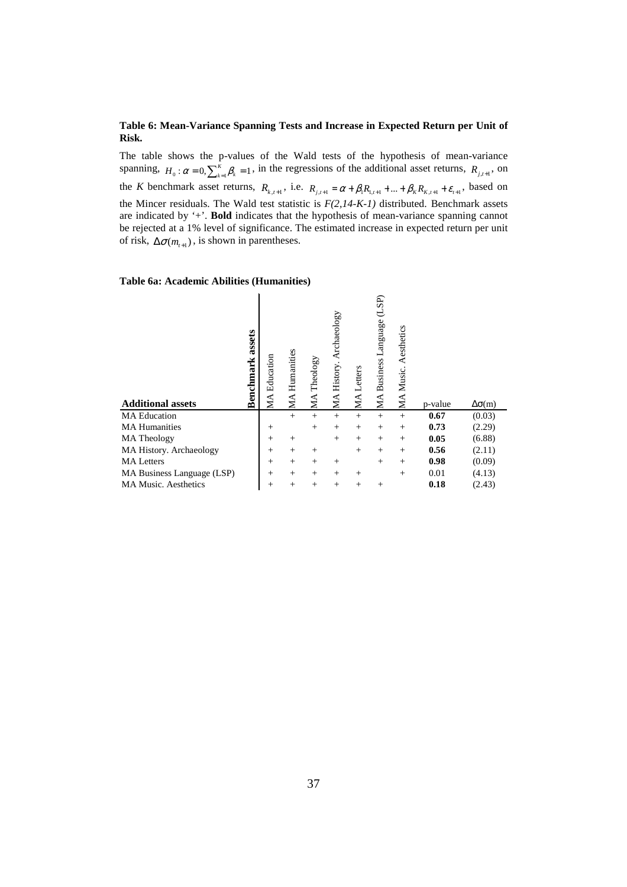#### **Table 6: Mean-Variance Spanning Tests and Increase in Expected Return per Unit of Risk.**

The table shows the p-values of the Wald tests of the hypothesis of mean-variance spanning,  $H_0: \alpha = 0, \sum_{k=1}^K \beta_k = 1$ *K*  $H_0: \alpha = 0, \sum_{k=1}^K \beta_k = 1$ , in the regressions of the additional asset returns,  $R_{j,t+1}$ , on the *K* benchmark asset returns,  $R_{k,t+1}$ , i.e.  $R_{j,t+1} = \alpha + \beta_1 R_{1,t+1} + ... + \beta_k R_{K,t+1} + \varepsilon_{t+1}$ , based on the Mincer residuals. The Wald test statistic is *F(2,14-K-1)* distributed. Benchmark assets are indicated by '+'. **Bold** indicates that the hypothesis of mean-variance spanning cannot be rejected at a 1% level of significance. The estimated increase in expected return per unit of risk,  $\Delta \sigma(m_{t+1})$ , is shown in parentheses.

#### **Table 6a: Academic Abilities (Humanities)**

|                            | assets<br>Benchmark | Education<br>⋖ | Humanities<br>⋖ | Theology | Archaeology<br>History. | Letters<br>⋖ | (LSP)<br>Business Language | Aesthetics<br>Music. |         |                   |
|----------------------------|---------------------|----------------|-----------------|----------|-------------------------|--------------|----------------------------|----------------------|---------|-------------------|
| <b>Additional assets</b>   |                     |                |                 | ŃМ       | МA                      |              | МA                         | МÁ.                  | p-value | $\Delta\sigma(m)$ |
| <b>MA</b> Education        |                     |                | $^{+}$          | $^{+}$   | $+$                     | $^{+}$       | $^{+}$                     | $^{+}$               | 0.67    | (0.03)            |
| <b>MA Humanities</b>       |                     | $\overline{+}$ |                 | $^{+}$   | $^{+}$                  | $^{+}$       | $+$                        | $^{+}$               | 0.73    | (2.29)            |
| <b>MA</b> Theology         |                     | $^{+}$         | $^{+}$          |          | $^{+}$                  | $^{+}$       | $^{+}$                     | $^{+}$               | 0.05    | (6.88)            |
| MA History. Archaeology    |                     | $^{+}$         | $^{+}$          | $^{+}$   |                         | $^{+}$       | $+$                        | $^{+}$               | 0.56    | (2.11)            |
| <b>MA</b> Letters          |                     | $^{+}$         | $^{+}$          | $^{+}$   | $+$                     |              | $^{+}$                     | $^{+}$               | 0.98    | (0.09)            |
| MA Business Language (LSP) |                     | $^{+}$         | $^{+}$          | $^{+}$   | $^{+}$                  | $^{+}$       |                            | $^{+}$               | 0.01    | (4.13)            |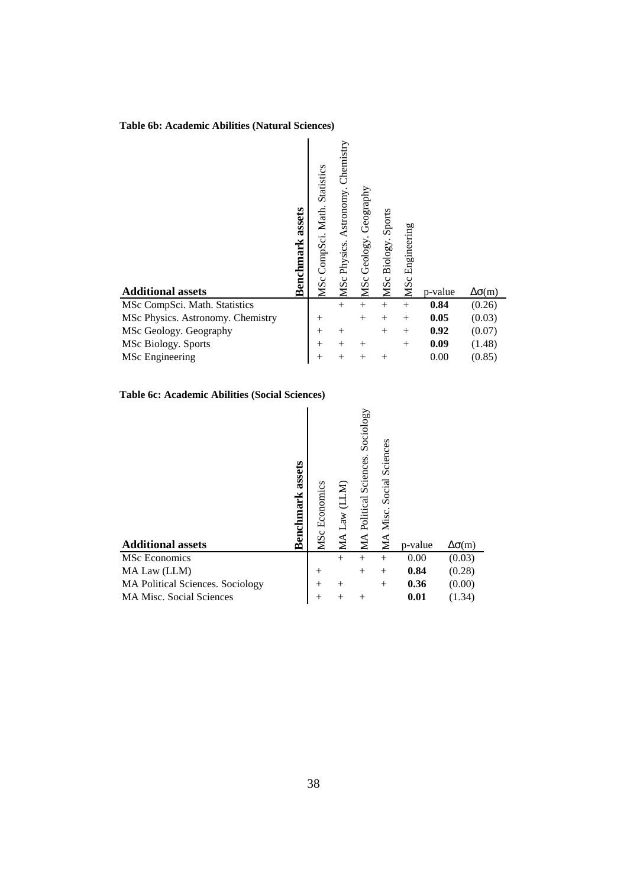## **Table 6b: Academic Abilities (Natural Sciences)**

| <b>Additional assets</b>          | assets<br><b>Benchmark</b> | <b>Statistics</b><br>CompSci. Math.<br>MSc | Chemistry<br>Astronomy.<br>MSc Physics. | Geography<br>Geology.<br>MSc | Sports<br>Biology.<br>MSc | MSc Engineering | p-value | $\Delta\sigma(m)$ |
|-----------------------------------|----------------------------|--------------------------------------------|-----------------------------------------|------------------------------|---------------------------|-----------------|---------|-------------------|
| MSc CompSci. Math. Statistics     |                            |                                            | $+$                                     | $+$                          | $+$                       | $+$             | 0.84    | (0.26)            |
| MSc Physics. Astronomy. Chemistry |                            | $^{+}$                                     |                                         | $^{+}$                       | $+$                       | $^{+}$          | 0.05    | (0.03)            |
| MSc Geology. Geography            |                            | $+$                                        | $+$                                     |                              | $^{+}$                    | $^{+}$          | 0.92    | (0.07)            |
| <b>MSc Biology. Sports</b>        |                            | $^{+}$                                     | $+$                                     | $^{+}$                       |                           | $+$             | 0.09    | (1.48)            |
| MSc Engineering                   |                            | $^{+}$                                     | $+$                                     | $^{+}$                       | $^{+}$                    |                 | 0.00    | (0.85)            |

## **Table 6c: Academic Abilities (Social Sciences)**

| <b>Additional assets</b>                | assets<br>Benchmark | Economics<br>MSc | Law (LLM)<br>$\blacktriangleleft$ | Sociology<br>Political Sciences.<br>∢ | Social Sciences<br>MA Misc. | p-value | $\Delta\sigma(m)$ |
|-----------------------------------------|---------------------|------------------|-----------------------------------|---------------------------------------|-----------------------------|---------|-------------------|
| <b>MSc Economics</b>                    |                     |                  | $+$                               | $^{+}$                                | $^{+}$                      | 0.00    | (0.03)            |
| MA Law (LLM)                            |                     | $^{+}$           |                                   | $^{+}$                                | $^{+}$                      | 0.84    | (0.28)            |
| <b>MA Political Sciences. Sociology</b> |                     | $^{+}$           | $+$                               |                                       | $^{+}$                      | 0.36    | (0.00)            |
| <b>MA Misc. Social Sciences</b>         |                     | $^{+}$           | $^{+}$                            | $^{+}$                                |                             | 0.01    | (1.34)            |